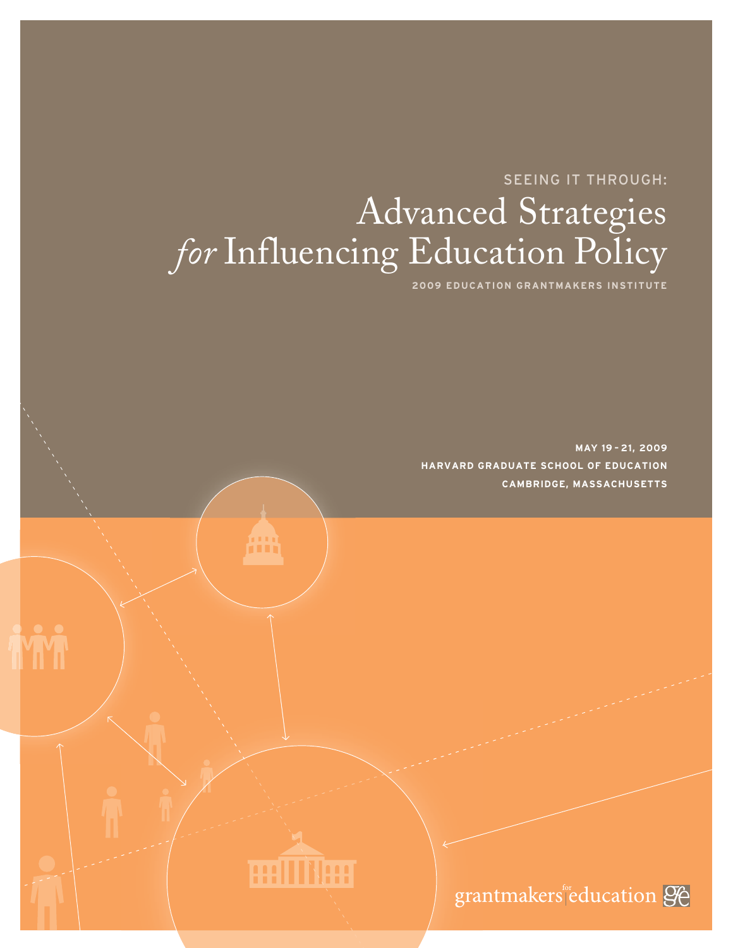# SEEING IT THROUGH: Advanced Strategies *for* Influencing Education Policy

**2009 EDUCATION GRANTMAKERS INSTITUTE**

**MAY 19 – 21, 2009 HARVARD GRADUATE SCHOOL OF EDUCATION CAMBRIDGE, MASSACHUSETTS**





**TYT**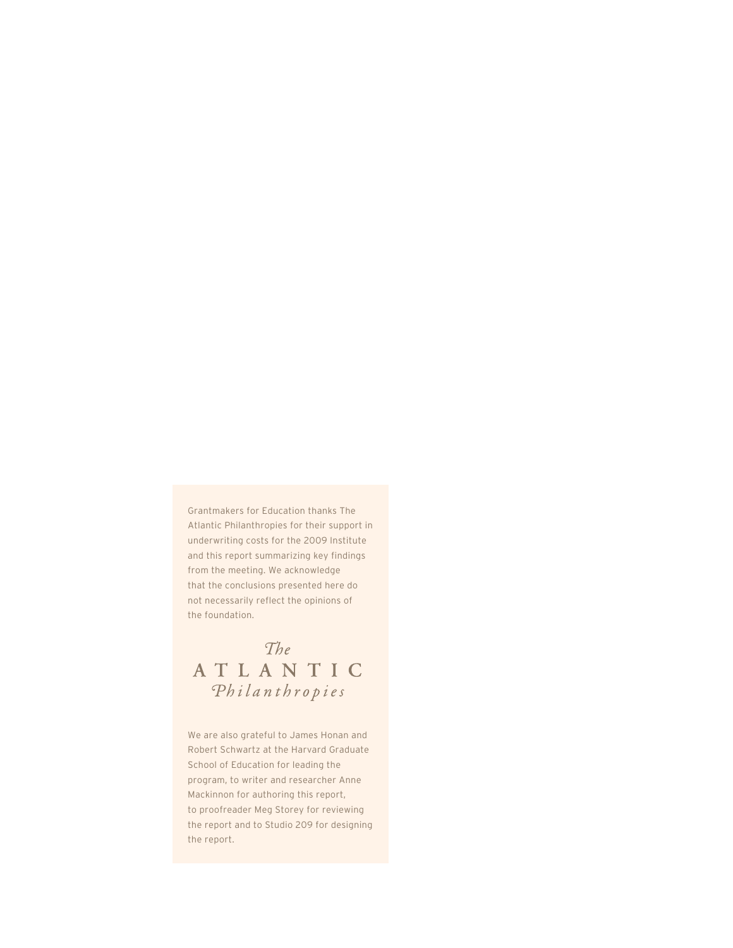Grantmakers for Education thanks The Atlantic Philanthropies for their support in underwriting costs for the 2009 Institute and this report summarizing key findings from the meeting. We acknowledge that the conclusions presented here do not necessarily reflect the opinions of the foundation.

## The ATLANTIC Philanthropies

We are also grateful to James Honan and Robert Schwartz at the Harvard Graduate School of Education for leading the program, to writer and researcher Anne Mackinnon for authoring this report, to proofreader Meg Storey for reviewing the report and to Studio 209 for designing the report.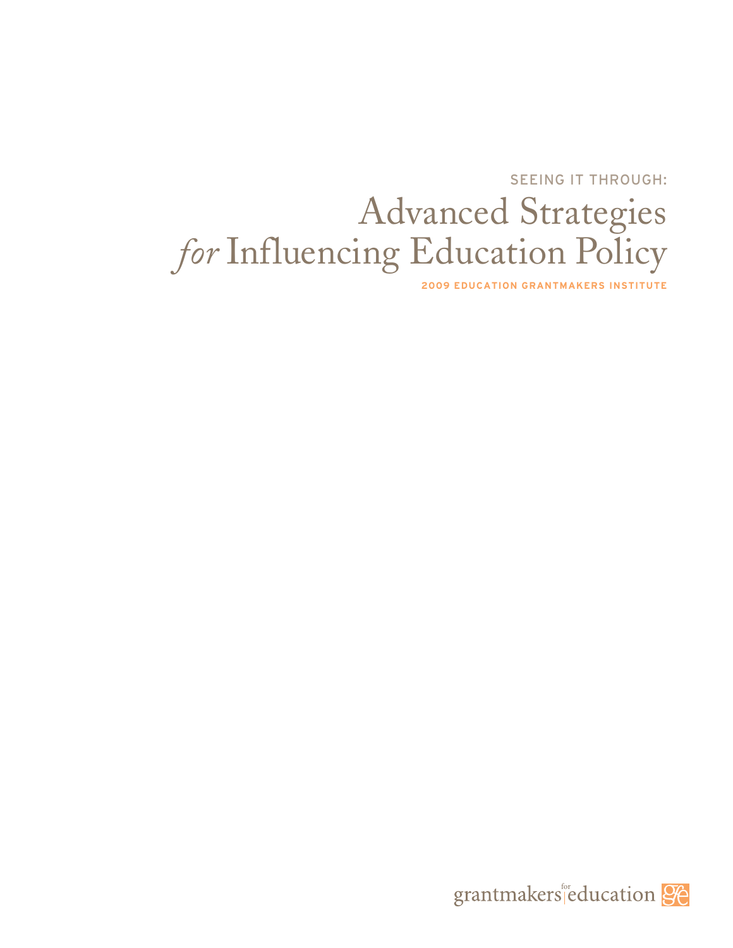SEEING IT THROUGH:

# Advanced Strategies for Influencing Education Policy

**2009 EDUCATION GRANTMAKERS INSTITUTE**

grantmakers education 96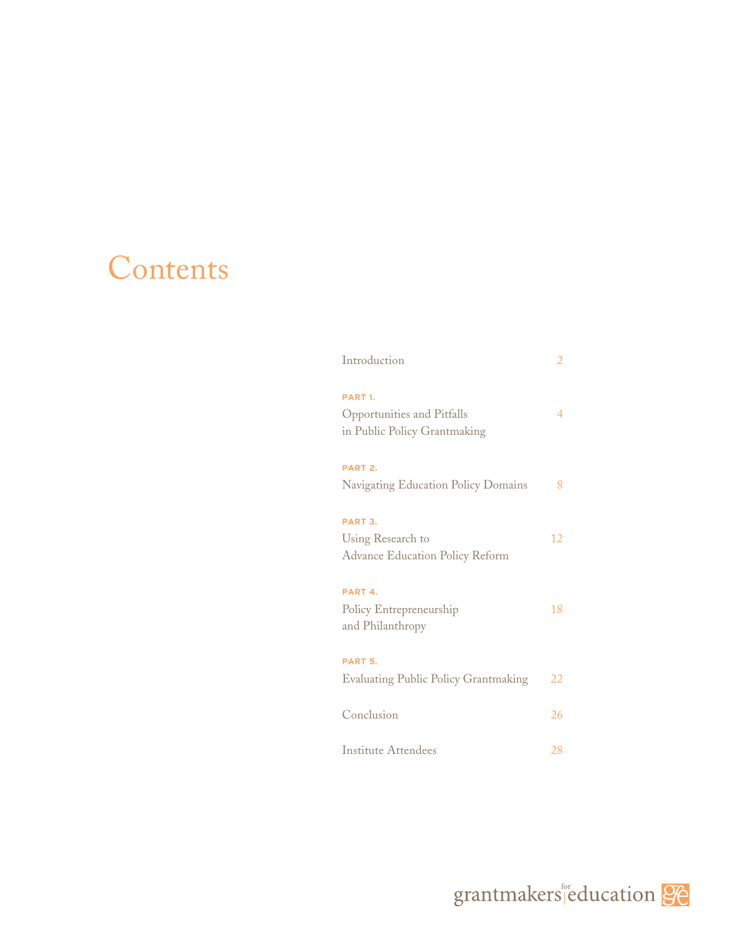# Contents

| Introduction                                                                       | 2  |
|------------------------------------------------------------------------------------|----|
| PART <sub>1</sub> .<br>Opportunities and Pitfalls<br>in Public Policy Grantmaking  | 4  |
| PART <sub>2</sub> .<br>Navigating Education Policy Domains                         | 8  |
| PART <sub>3</sub> .<br>Using Research to<br><b>Advance Education Policy Reform</b> | 12 |
| PART <sub>4</sub> .<br>Policy Entrepreneurship<br>and Philanthropy                 | 18 |
| PART <sub>5</sub> .<br><b>Evaluating Public Policy Grantmaking</b>                 | 22 |
| Conclusion                                                                         | 26 |
| Institute Attendees                                                                | 28 |

grantmakers education 96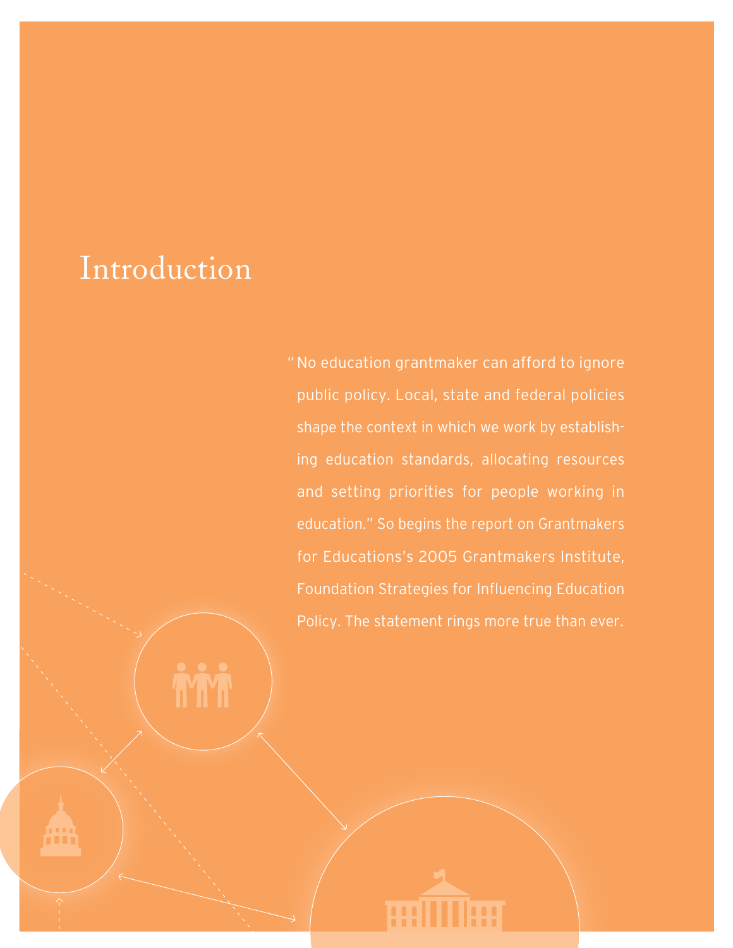# Introduction

No education grantmaker can afford to ignore "public policy. Local, state and federal policies shape the context in which we work by establishing education standards, allocating resources and setting priorities for people working in education." So begins the report on Grantmakers for Educations's 2005 Grantmakers Institute, Foundation Strategies for Influencing Education Policy. The statement rings more true than ever.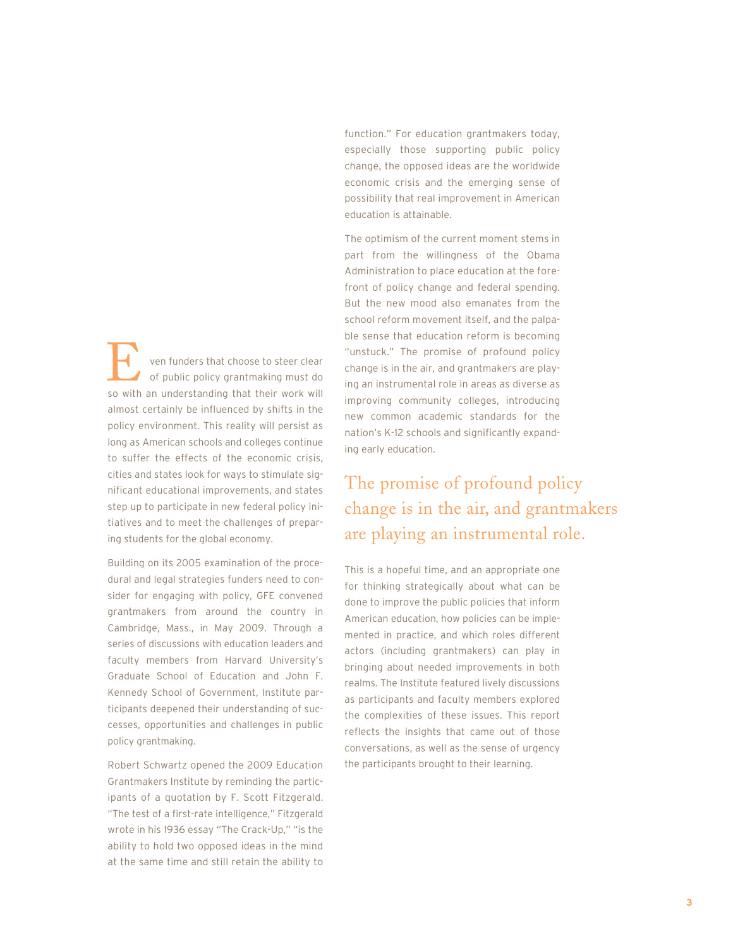ven funders that choose to steer clear of public policy grantmaking must do **Example 15 You funders that choose to steer clear**<br>of public policy grantmaking must do<br>so with an understanding that their work will almost certainly be influenced by shifts in the policy environment. This reality will persist as long as American schools and colleges continue to suffer the effects of the economic crisis, cities and states look for ways to stimulate significant educational improvements, and states step up to participate in new federal policy initiatives and to meet the challenges of preparing students for the global economy.

Building on its 2005 examination of the procedural and legal strategies funders need to consider for engaging with policy, GFE convened grantmakers from around the country in Cambridge, Mass., in May 2009. Through a series of discussions with education leaders and faculty members from Harvard University's Graduate School of Education and John F. Kennedy School of Government, Institute participants deepened their understanding of successes, opportunities and challenges in public policy grantmaking.

Robert Schwartz opened the 2009 Education Grantmakers Institute by reminding the participants of a quotation by F. Scott Fitzgerald. "The test of a first-rate intelligence," Fitzgerald wrote in his 1936 essay "The Crack-Up," "is the ability to hold two opposed ideas in the mind at the same time and still retain the ability to

function." For education grantmakers today, especially those supporting public policy change, the opposed ideas are the worldwide economic crisis and the emerging sense of possibility that real improvement in American education is attainable.

The optimism of the current moment stems in part from the willingness of the Obama Administration to place education at the forefront of policy change and federal spending. But the new mood also emanates from the school reform movement itself, and the palpable sense that education reform is becoming "unstuck." The promise of profound policy change is in the air, and grantmakers are playing an instrumental role in areas as diverse as improving community colleges, introducing new common academic standards for the nation's K-12 schools and significantly expanding early education.

## The promise of profound policy change is in the air, and grantmakers are playing an instrumental role.

This is a hopeful time, and an appropriate one for thinking strategically about what can be done to improve the public policies that inform American education, how policies can be implemented in practice, and which roles different actors (including grantmakers) can play in bringing about needed improvements in both realms. The Institute featured lively discussions as participants and faculty members explored the complexities of these issues. This report reflects the insights that came out of those conversations, as well as the sense of urgency the participants brought to their learning.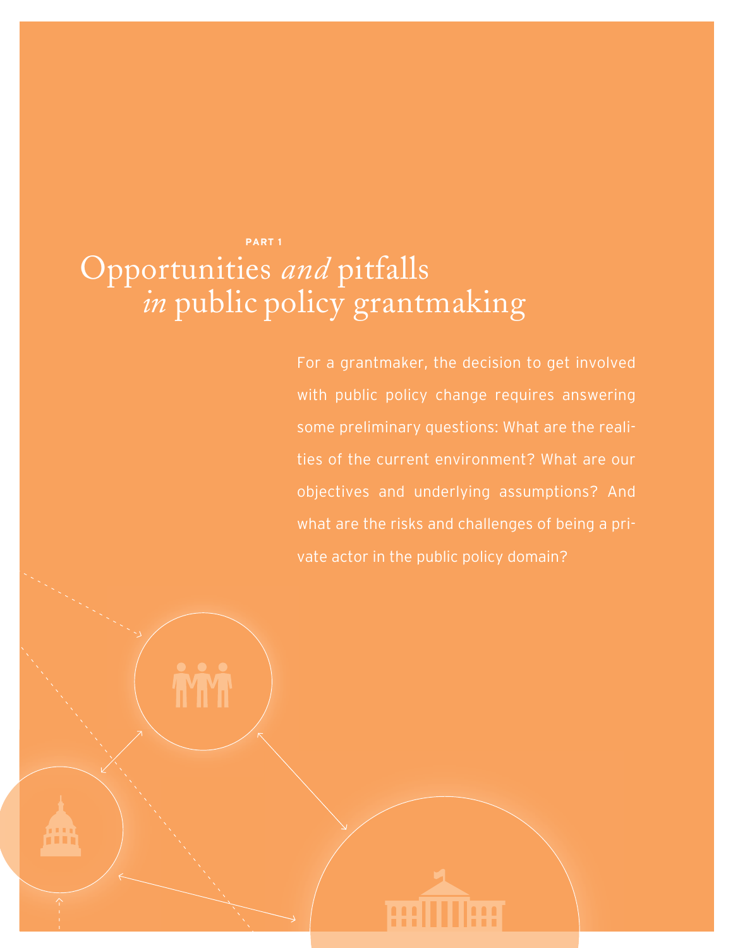## **PART 1** Opportunities *and* pitfalls *in* public policy grantmaking

For a grantmaker, the decision to get involved with public policy change requires answering some preliminary questions: What are the realities of the current environment? What are our objectives and underlying assumptions? And what are the risks and challenges of being a private actor in the public policy domain?

**BUILDER**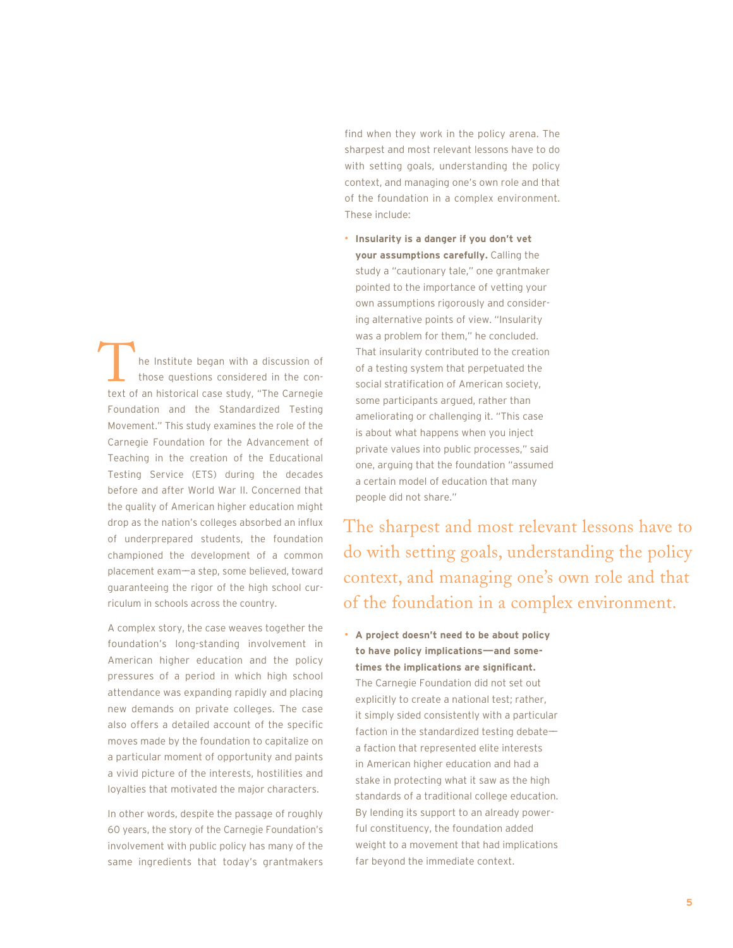he Institute began with a discussion of those questions considered in the conthe Institute began with a discussion of<br>those questions considered in the con-<br>text of an historical case study, "The Carnegie Foundation and the Standardized Testing Movement." This study examines the role of the Carnegie Foundation for the Advancement of Teaching in the creation of the Educational Testing Service (ETS) during the decades before and after World War II. Concerned that the quality of American higher education might drop as the nation's colleges absorbed an influx of underprepared students, the foundation championed the development of a common placement exam——a step, some believed, toward guaranteeing the rigor of the high school curriculum in schools across the country.

A complex story, the case weaves together the foundation's long-standing involvement in American higher education and the policy pressures of a period in which high school attendance was expanding rapidly and placing new demands on private colleges. The case also offers a detailed account of the specific moves made by the foundation to capitalize on a particular moment of opportunity and paints a vivid picture of the interests, hostilities and loyalties that motivated the major characters.

In other words, despite the passage of roughly 60 years, the story of the Carnegie Foundation's involvement with public policy has many of the same ingredients that today's grantmakers

find when they work in the policy arena. The sharpest and most relevant lessons have to do with setting goals, understanding the policy context, and managing one's own role and that of the foundation in a complex environment. These include:

• **Insularity is a danger if you don't vet your assumptions carefully.** Calling the study a "cautionary tale," one grantmaker pointed to the importance of vetting your own assumptions rigorously and considering alternative points of view. "Insularity was a problem for them," he concluded. That insularity contributed to the creation of a testing system that perpetuated the social stratification of American society, some participants argued, rather than ameliorating or challenging it. "This case is about what happens when you inject private values into public processes," said one, arguing that the foundation "assumed a certain model of education that many people did not share."

The sharpest and most relevant lessons have to do with setting goals, understanding the policy context, and managing one's own role and that of the foundation in a complex environment.

• **A project doesn't need to be about policy to have policy implications——and sometimes the implications are significant.** The Carnegie Foundation did not set out explicitly to create a national test; rather, it simply sided consistently with a particular faction in the standardized testing debatea faction that represented elite interests in American higher education and had a stake in protecting what it saw as the high standards of a traditional college education. By lending its support to an already powerful constituency, the foundation added weight to a movement that had implications far beyond the immediate context.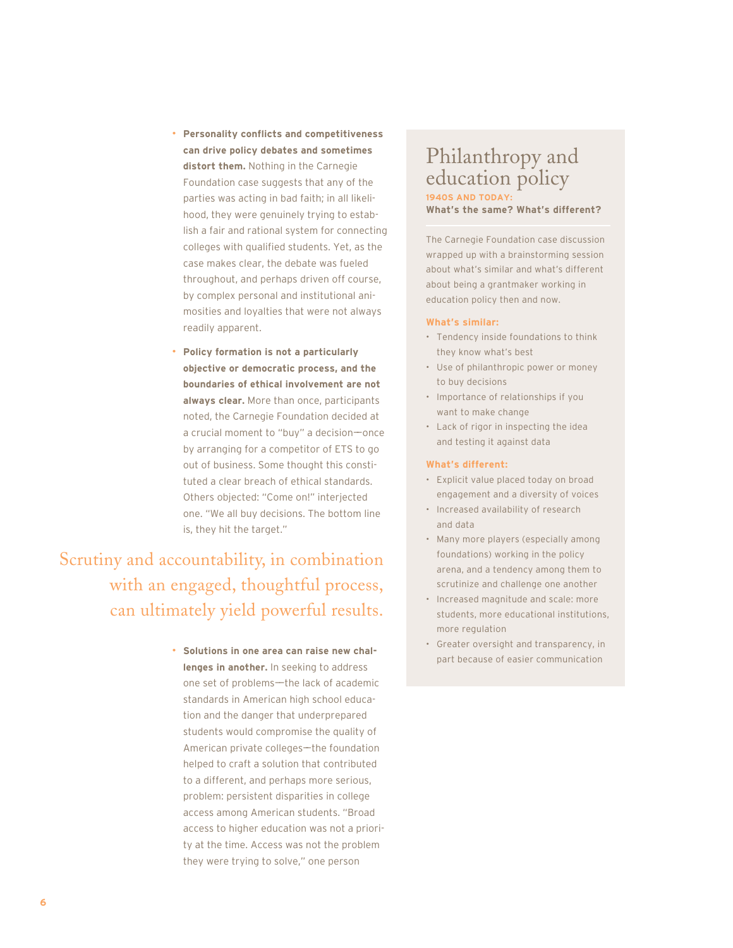- **Personality conflicts and competitiveness can drive policy debates and sometimes distort them.** Nothing in the Carnegie Foundation case suggests that any of the parties was acting in bad faith; in all likelihood, they were genuinely trying to establish a fair and rational system for connecting colleges with qualified students. Yet, as the case makes clear, the debate was fueled throughout, and perhaps driven off course, by complex personal and institutional animosities and loyalties that were not always readily apparent.
- **Policy formation is not a particularly objective or democratic process, and the boundaries of ethical involvement are not always clear.** More than once, participants noted, the Carnegie Foundation decided at a crucial moment to "buy" a decision-once by arranging for a competitor of ETS to go out of business. Some thought this constituted a clear breach of ethical standards. Others objected: "Come on!" interjected one. "We all buy decisions. The bottom line is, they hit the target."

Scrutiny and accountability, in combination with an engaged, thoughtful process, can ultimately yield powerful results.

> • **Solutions in one area can raise new challenges in another.** In seeking to address one set of problems—the lack of academic standards in American high school education and the danger that underprepared students would compromise the quality of American private colleges-the foundation helped to craft a solution that contributed to a different, and perhaps more serious, problem: persistent disparities in college access among American students. "Broad access to higher education was not a priority at the time. Access was not the problem they were trying to solve," one person

### Philanthropy and education policy **1940S AND TODAY:**

**What's the same? What's different?**

The Carnegie Foundation case discussion wrapped up with a brainstorming session about what's similar and what's different about being a grantmaker working in education policy then and now.

#### **What's similar:**

- Tendency inside foundations to think they know what's best
- Use of philanthropic power or money to buy decisions
- Importance of relationships if you want to make change
- Lack of rigor in inspecting the idea and testing it against data

#### **What's different:**

- Explicit value placed today on broad engagement and a diversity of voices
- Increased availability of research and data
- Many more players (especially among foundations) working in the policy arena, and a tendency among them to scrutinize and challenge one another
- Increased magnitude and scale: more students, more educational institutions, more regulation
- Greater oversight and transparency, in part because of easier communication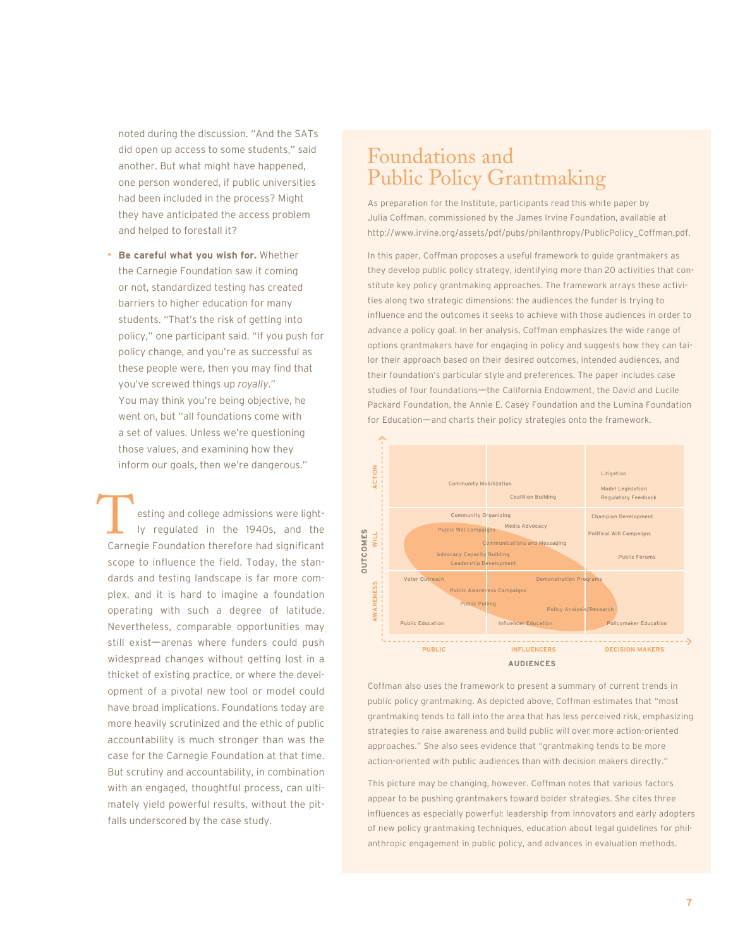noted during the discussion. "And the SATs did open up access to some students," said another. But what might have happened, one person wondered, if public universities had been included in the process? Might they have anticipated the access problem and helped to forestall it?

• **Be careful what you wish for.** Whether the Carnegie Foundation saw it coming or not, standardized testing has created barriers to higher education for many students. "That's the risk of getting into policy," one participant said. "If you push for policy change, and you're as successful as these people were, then you may find that you've screwed things up *royally*." You may think you're being objective, he went on, but "all foundations come with a set of values. Unless we're questioning those values, and examining how they inform our goals, then we're dangerous."

esting and college admissions were lightly regulated in the 1940s, and the esting and college admissions were light-<br>Iy regulated in the 1940s, and the<br>Carnegie Foundation therefore had significant scope to influence the field. Today, the standards and testing landscape is far more complex, and it is hard to imagine a foundation operating with such a degree of latitude. Nevertheless, comparable opportunities may still exist-arenas where funders could push widespread changes without getting lost in a thicket of existing practice, or where the development of a pivotal new tool or model could have broad implications. Foundations today are more heavily scrutinized and the ethic of public accountability is much stronger than was the case for the Carnegie Foundation at that time. But scrutiny and accountability, in combination with an engaged, thoughtful process, can ultimately yield powerful results, without the pitfalls underscored by the case study.

## Foundations and Public Policy Grantmaking

As preparation for the Institute, participants read this white paper by Julia Coffman, commissioned by the James Irvine Foundation, available at http://www.irvine.org/assets/pdf/pubs/philanthropy/PublicPolicy\_Coffman.pdf.

In this paper, Coffman proposes a useful framework to guide grantmakers as they develop public policy strategy, identifying more than 20 activities that constitute key policy grantmaking approaches. The framework arrays these activities along two strategic dimensions: the audiences the funder is trying to influence and the outcomes it seeks to achieve with those audiences in order to advance a policy goal. In her analysis, Coffman emphasizes the wide range of options grantmakers have for engaging in policy and suggests how they can tailor their approach based on their desired outcomes, intended audiences, and their foundation's particular style and preferences. The paper includes case studies of four foundations—the California Endowment, the David and Lucile Packard Foundation, the Annie E. Casey Foundation and the Lumina Foundation for Education—and charts their policy strategies onto the framework.



Coffman also uses the framework to present a summary of current trends in public policy grantmaking. As depicted above, Coffman estimates that "most grantmaking tends to fall into the area that has less perceived risk, emphasizing strategies to raise awareness and build public will over more action-oriented approaches." She also sees evidence that "grantmaking tends to be more action-oriented with public audiences than with decision makers directly."

This picture may be changing, however. Coffman notes that various factors appear to be pushing grantmakers toward bolder strategies. She cites three influences as especially powerful: leadership from innovators and early adopters of new policy grantmaking techniques, education about legal guidelines for phil-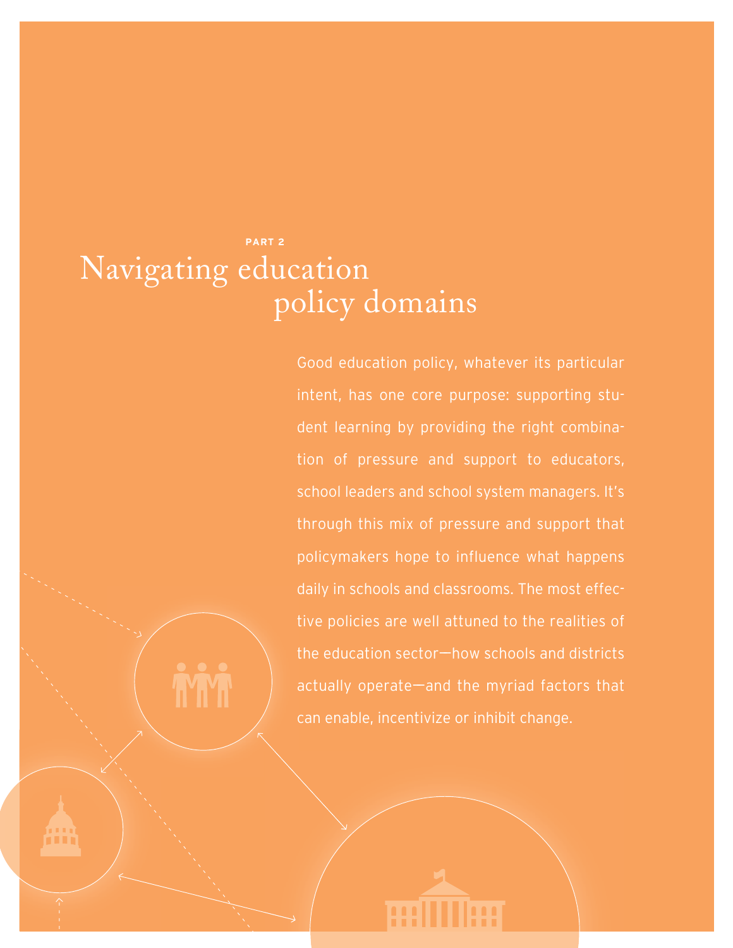## **PART 2** Navigating education policy domains

Good education policy, whatever its particular intent, has one core purpose: supporting student learning by providing the right combination of pressure and support to educators, school leaders and school system managers. It's through this mix of pressure and support that policymakers hope to influence what happens daily in schools and classrooms. The most effective policies are well attuned to the realities of the education sector $-$ how schools and districts actually operate—and the myriad factors that can enable, incentivize or inhibit change.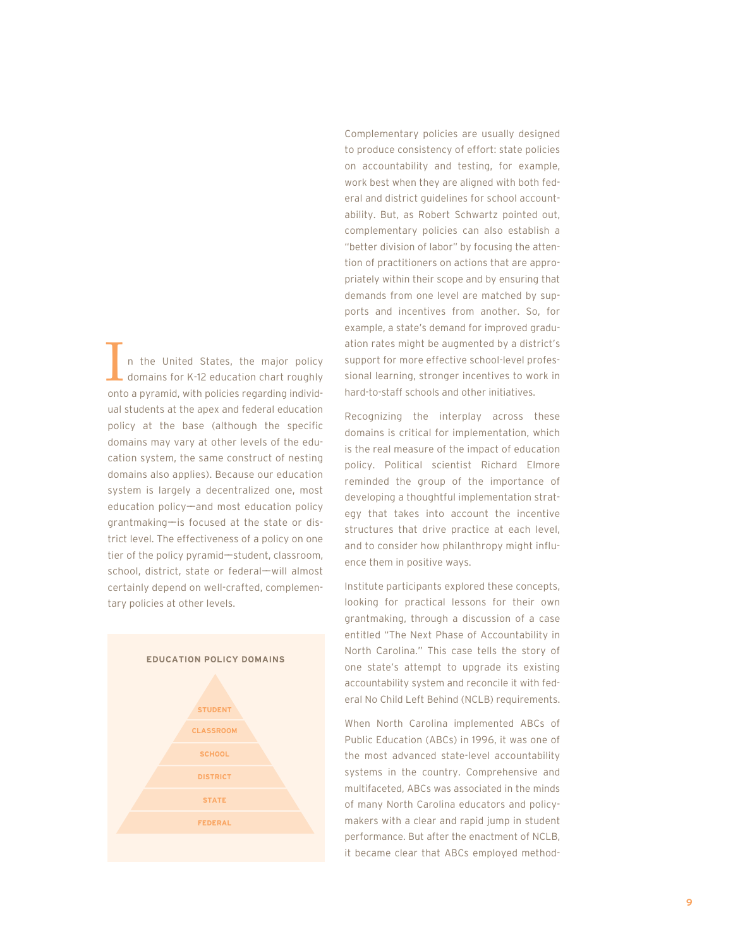n the United States, the major policy domains for K-12 education chart roughly In the United States, the major policy<br>domains for K-12 education chart roughly<br>onto a pyramid, with policies regarding individual students at the apex and federal education policy at the base (although the specific domains may vary at other levels of the education system, the same construct of nesting domains also applies). Because our education system is largely a decentralized one, most education policy—and most education policy grantmaking——is focused at the state or district level. The effectiveness of a policy on one tier of the policy pyramid—student, classroom, school, district, state or federal-will almost certainly depend on well-crafted, complementary policies at other levels.



Complementary policies are usually designed to produce consistency of effort: state policies on accountability and testing, for example, work best when they are aligned with both federal and district guidelines for school accountability. But, as Robert Schwartz pointed out, complementary policies can also establish a "better division of labor" by focusing the attention of practitioners on actions that are appropriately within their scope and by ensuring that demands from one level are matched by supports and incentives from another. So, for example, a state's demand for improved graduation rates might be augmented by a district's support for more effective school-level professional learning, stronger incentives to work in hard-to-staff schools and other initiatives.

Recognizing the interplay across these domains is critical for implementation, which is the real measure of the impact of education policy. Political scientist Richard Elmore reminded the group of the importance of developing a thoughtful implementation strategy that takes into account the incentive structures that drive practice at each level, and to consider how philanthropy might influence them in positive ways.

Institute participants explored these concepts, looking for practical lessons for their own grantmaking, through a discussion of a case entitled "The Next Phase of Accountability in North Carolina." This case tells the story of one state's attempt to upgrade its existing accountability system and reconcile it with federal No Child Left Behind (NCLB) requirements.

When North Carolina implemented ABCs of Public Education (ABCs) in 1996, it was one of the most advanced state-level accountability systems in the country. Comprehensive and multifaceted, ABCs was associated in the minds of many North Carolina educators and policymakers with a clear and rapid jump in student performance. But after the enactment of NCLB, it became clear that ABCs employed method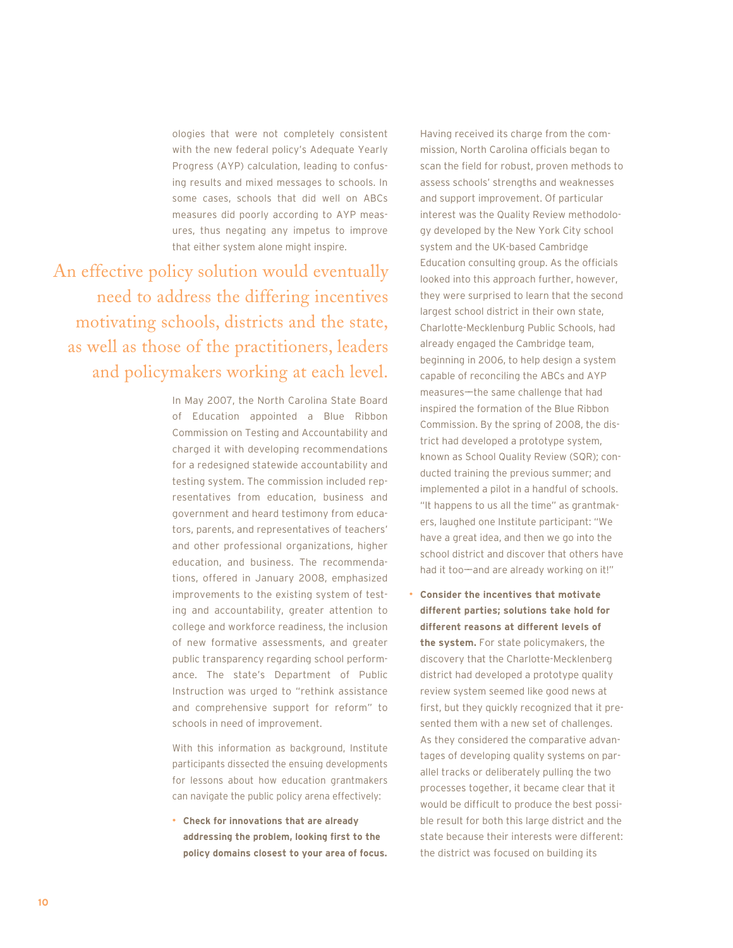ologies that were not completely consistent with the new federal policy's Adequate Yearly Progress (AYP) calculation, leading to confusing results and mixed messages to schools. In some cases, schools that did well on ABCs measures did poorly according to AYP measures, thus negating any impetus to improve that either system alone might inspire.

An effective policy solution would eventually need to address the differing incentives motivating schools, districts and the state, as well as those of the practitioners, leaders and policymakers working at each level.

> In May 2007, the North Carolina State Board of Education appointed a Blue Ribbon Commission on Testing and Accountability and charged it with developing recommendations for a redesigned statewide accountability and testing system. The commission included representatives from education, business and government and heard testimony from educators, parents, and representatives of teachers' and other professional organizations, higher education, and business. The recommendations, offered in January 2008, emphasized improvements to the existing system of testing and accountability, greater attention to college and workforce readiness, the inclusion of new formative assessments, and greater public transparency regarding school performance. The state's Department of Public Instruction was urged to "rethink assistance and comprehensive support for reform" to schools in need of improvement.

> With this information as background, Institute participants dissected the ensuing developments for lessons about how education grantmakers can navigate the public policy arena effectively:

> • **Check for innovations that are already addressing the problem, looking first to the policy domains closest to your area of focus.**

Having received its charge from the commission, North Carolina officials began to scan the field for robust, proven methods to assess schools' strengths and weaknesses and support improvement. Of particular interest was the Quality Review methodology developed by the New York City school system and the UK-based Cambridge Education consulting group. As the officials looked into this approach further, however, they were surprised to learn that the second largest school district in their own state, Charlotte-Mecklenburg Public Schools, had already engaged the Cambridge team, beginning in 2006, to help design a system capable of reconciling the ABCs and AYP measures—the same challenge that had inspired the formation of the Blue Ribbon Commission. By the spring of 2008, the district had developed a prototype system, known as School Quality Review (SQR); conducted training the previous summer; and implemented a pilot in a handful of schools. "It happens to us all the time" as grantmakers, laughed one Institute participant: "We have a great idea, and then we go into the school district and discover that others have had it too-and are already working on it!"

• **Consider the incentives that motivate different parties; solutions take hold for different reasons at different levels of the system.** For state policymakers, the discovery that the Charlotte-Mecklenberg district had developed a prototype quality review system seemed like good news at first, but they quickly recognized that it presented them with a new set of challenges. As they considered the comparative advantages of developing quality systems on parallel tracks or deliberately pulling the two processes together, it became clear that it would be difficult to produce the best possible result for both this large district and the state because their interests were different: the district was focused on building its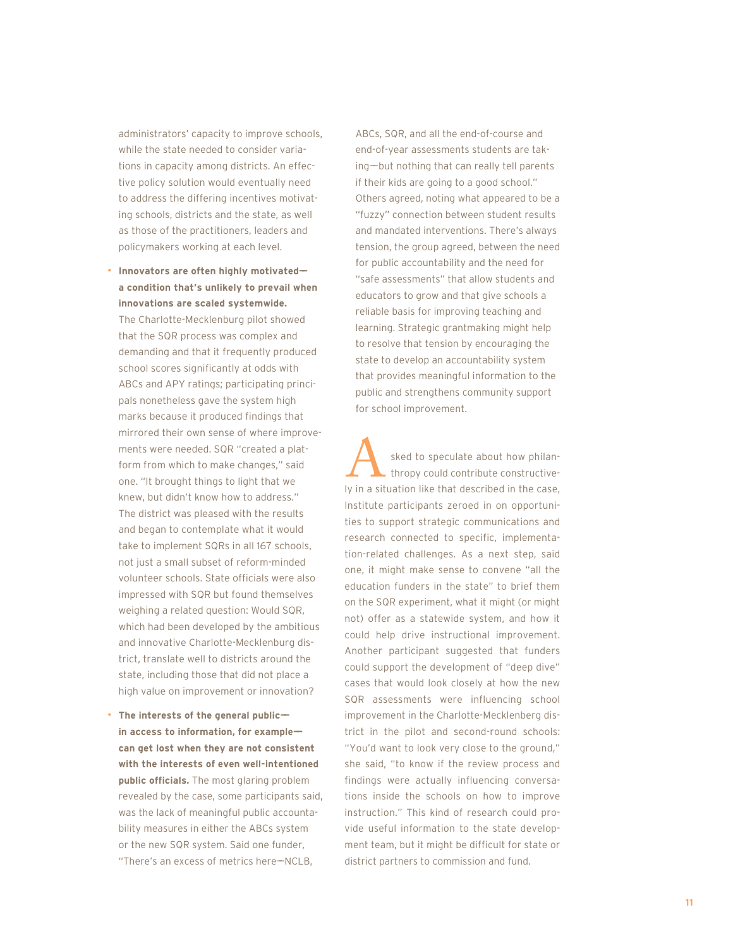administrators' capacity to improve schools, while the state needed to consider variations in capacity among districts. An effective policy solution would eventually need to address the differing incentives motivating schools, districts and the state, as well as those of the practitioners, leaders and policymakers working at each level.

• **Innovators are often highly motivated— a condition that's unlikely to prevail when innovations are scaled systemwide.**

The Charlotte-Mecklenburg pilot showed that the SQR process was complex and demanding and that it frequently produced school scores significantly at odds with ABCs and APY ratings; participating principals nonetheless gave the system high marks because it produced findings that mirrored their own sense of where improvements were needed. SQR "created a platform from which to make changes," said one. "It brought things to light that we knew, but didn't know how to address." The district was pleased with the results and began to contemplate what it would take to implement SQRs in all 167 schools, not just a small subset of reform-minded volunteer schools. State officials were also impressed with SQR but found themselves weighing a related question: Would SQR, which had been developed by the ambitious and innovative Charlotte-Mecklenburg district, translate well to districts around the state, including those that did not place a high value on improvement or innovation?

• **The interests of the general public— in access to information, for example— can get lost when they are not consistent with the interests of even well-intentioned public officials.** The most glaring problem revealed by the case, some participants said, was the lack of meaningful public accountability measures in either the ABCs system or the new SQR system. Said one funder, "There's an excess of metrics here-NCLB.

ABCs, SQR, and all the end-of-course and end-of-year assessments students are taking-but nothing that can really tell parents if their kids are going to a good school." Others agreed, noting what appeared to be a "fuzzy" connection between student results and mandated interventions. There's always tension, the group agreed, between the need for public accountability and the need for "safe assessments" that allow students and educators to grow and that give schools a reliable basis for improving teaching and learning. Strategic grantmaking might help to resolve that tension by encouraging the state to develop an accountability system that provides meaningful information to the public and strengthens community support for school improvement.

sked to speculate about how philanthropy could contribute constructively in a situation like that described in the case, Institute participants zeroed in on opportunities to support strategic communications and research connected to specific, implementation-related challenges. As a next step, said one, it might make sense to convene "all the education funders in the state" to brief them on the SQR experiment, what it might (or might not) offer as a statewide system, and how it could help drive instructional improvement. Another participant suggested that funders could support the development of "deep dive" cases that would look closely at how the new SQR assessments were influencing school improvement in the Charlotte-Mecklenberg district in the pilot and second-round schools: "You'd want to look very close to the ground," she said, "to know if the review process and findings were actually influencing conversations inside the schools on how to improve instruction." This kind of research could provide useful information to the state development team, but it might be difficult for state or Sked to speculate about how p<br>
Intropy could contribute constri<br>
V in a situation like that described in the<br>
Institute participants zeroed in on opporties<br>
to support strategic communication<br>
research connected to specifi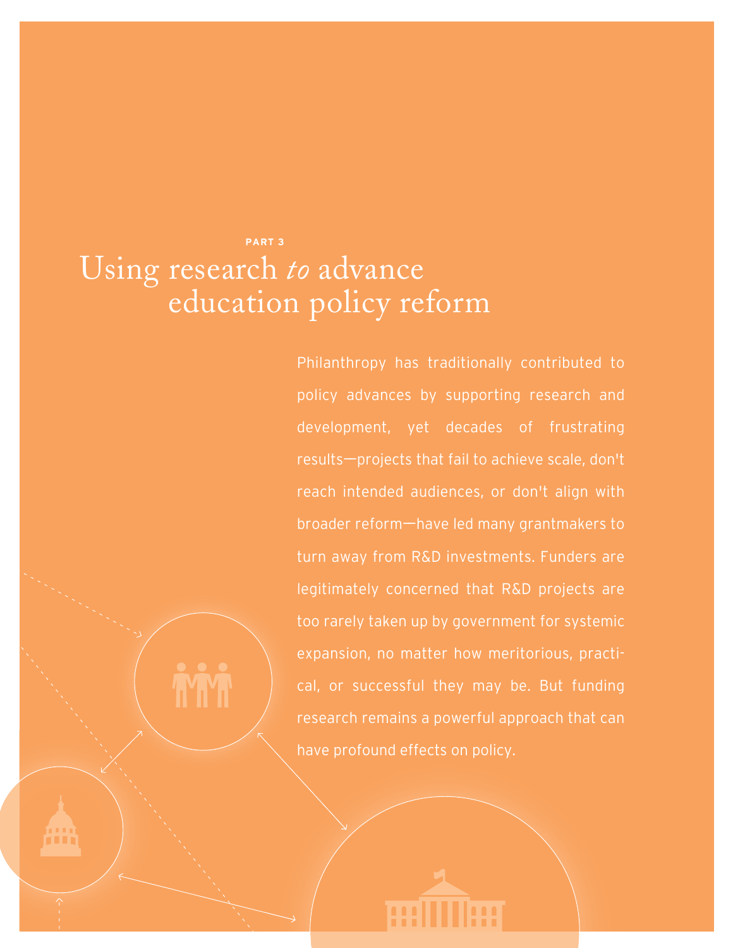## **PART 3** Using research *to* advance education policy reform

Philanthropy has traditionally contributed to policy advances by supporting research and development, yet decades of frustrating results——projects that fail to achieve scale, don't reach intended audiences, or don't align with broader reform-have led many grantmakers to turn away from R&D investments. Funders are legitimately concerned that R&D projects are too rarely taken up by government for systemic expansion, no matter how meritorious, practical, or successful they may be. But funding research remains a powerful approach that can have profound effects on policy.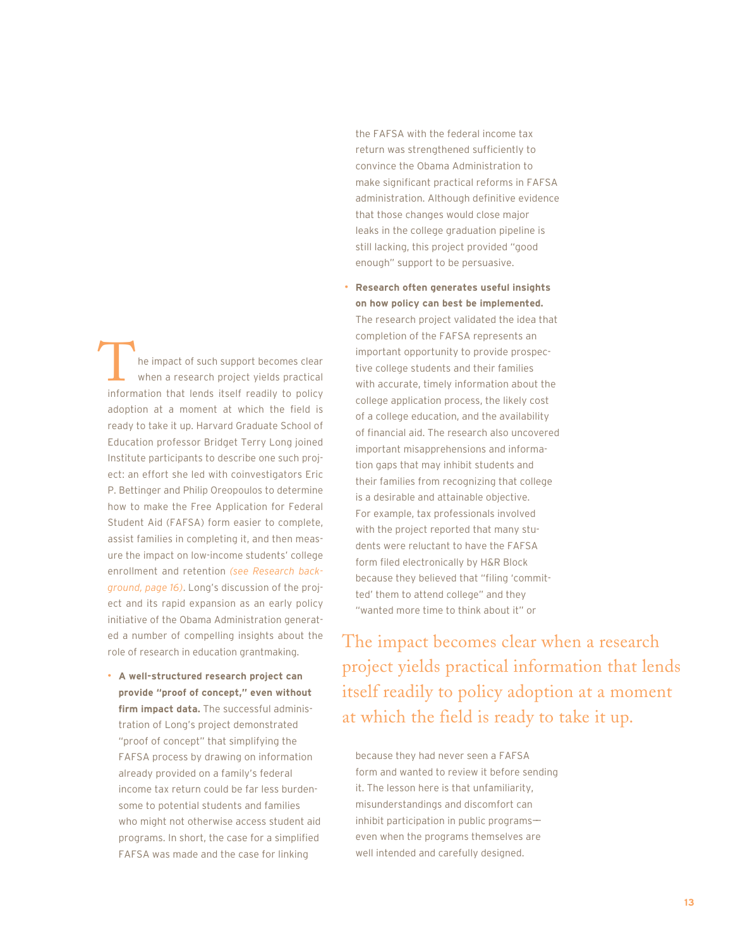he impact of such support becomes clear when a research project yields practical The impact of such support becomes clear<br>
when a research project yields practical<br>
information that lends itself readily to policy adoption at a moment at which the field is ready to take it up. Harvard Graduate School of Education professor Bridget Terry Long joined Institute participants to describe one such project: an effort she led with coinvestigators Eric P. Bettinger and Philip Oreopoulos to determine how to make the Free Application for Federal Student Aid (FAFSA) form easier to complete, assist families in completing it, and then measure the impact on low-income students' college enrollment and retention *(see Research background, page 16)*. Long's discussion of the project and its rapid expansion as an early policy initiative of the Obama Administration generated a number of compelling insights about the role of research in education grantmaking.

• **A well-structured research project can provide "proof of concept," even without firm impact data.** The successful administration of Long's project demonstrated "proof of concept" that simplifying the FAFSA process by drawing on information already provided on a family's federal income tax return could be far less burdensome to potential students and families who might not otherwise access student aid programs. In short, the case for a simplified FAFSA was made and the case for linking

the FAFSA with the federal income tax return was strengthened sufficiently to convince the Obama Administration to make significant practical reforms in FAFSA administration. Although definitive evidence that those changes would close major leaks in the college graduation pipeline is still lacking, this project provided "good enough" support to be persuasive.

• **Research often generates useful insights on how policy can best be implemented.** The research project validated the idea that completion of the FAFSA represents an important opportunity to provide prospective college students and their families with accurate, timely information about the college application process, the likely cost of a college education, and the availability of financial aid. The research also uncovered important misapprehensions and information gaps that may inhibit students and their families from recognizing that college is a desirable and attainable objective. For example, tax professionals involved with the project reported that many students were reluctant to have the FAFSA form filed electronically by H&R Block because they believed that "filing 'committed' them to attend college" and they "wanted more time to think about it" or

The impact becomes clear when a research project yields practical information that lends itself readily to policy adoption at a moment at which the field is ready to take it up.

because they had never seen a FAFSA form and wanted to review it before sending it. The lesson here is that unfamiliarity, misunderstandings and discomfort can inhibit participation in public programseven when the programs themselves are well intended and carefully designed.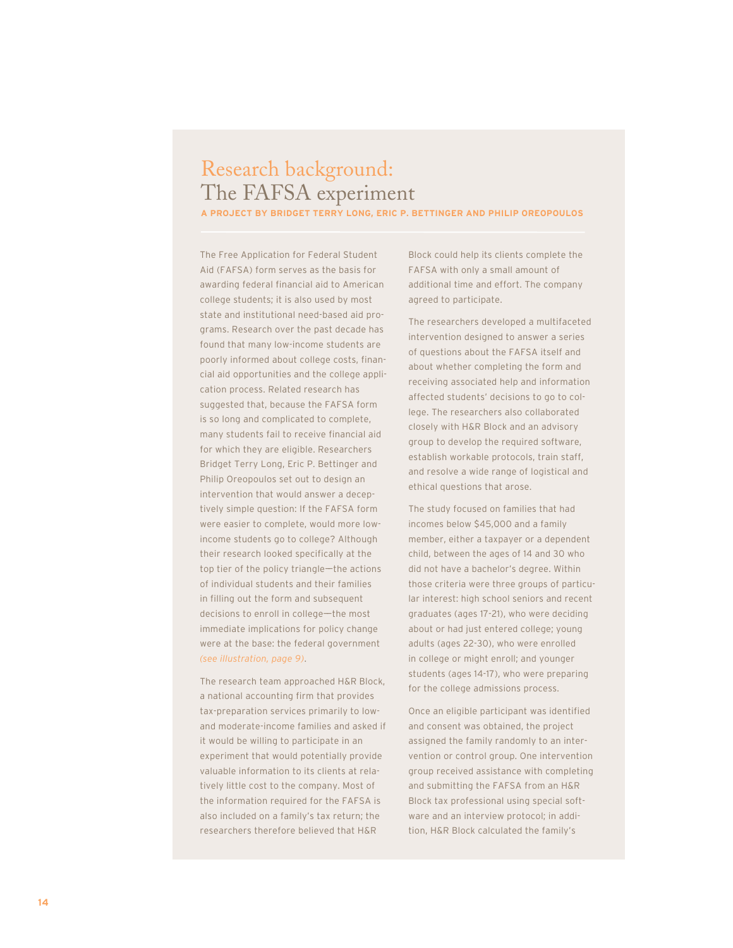## Research background: The FAFSA experiment

**A PROJECT BY BRIDGET TERRY LONG, ERIC P. BETTINGER AND PHILIP OREOPOULOS**

The Free Application for Federal Student Aid (FAFSA) form serves as the basis for awarding federal financial aid to American college students; it is also used by most state and institutional need-based aid programs. Research over the past decade has found that many low-income students are poorly informed about college costs, financial aid opportunities and the college application process. Related research has suggested that, because the FAFSA form is so long and complicated to complete, many students fail to receive financial aid for which they are eligible. Researchers Bridget Terry Long, Eric P. Bettinger and Philip Oreopoulos set out to design an intervention that would answer a deceptively simple question: If the FAFSA form were easier to complete, would more lowincome students go to college? Although their research looked specifically at the top tier of the policy triangle—the actions of individual students and their families in filling out the form and subsequent decisions to enroll in college-the most immediate implications for policy change were at the base: the federal government *(see illustration, page 9)*.

The research team approached H&R Block, a national accounting firm that provides tax-preparation services primarily to lowand moderate-income families and asked if it would be willing to participate in an experiment that would potentially provide valuable information to its clients at relatively little cost to the company. Most of the information required for the FAFSA is also included on a family's tax return; the researchers therefore believed that H&R

Block could help its clients complete the FAFSA with only a small amount of additional time and effort. The company agreed to participate.

The researchers developed a multifaceted intervention designed to answer a series of questions about the FAFSA itself and about whether completing the form and receiving associated help and information affected students' decisions to go to college. The researchers also collaborated closely with H&R Block and an advisory group to develop the required software, establish workable protocols, train staff, and resolve a wide range of logistical and ethical questions that arose.

The study focused on families that had incomes below \$45,000 and a family member, either a taxpayer or a dependent child, between the ages of 14 and 30 who did not have a bachelor's degree. Within those criteria were three groups of particular interest: high school seniors and recent graduates (ages 17-21), who were deciding about or had just entered college; young adults (ages 22-30), who were enrolled in college or might enroll; and younger students (ages 14-17), who were preparing for the college admissions process.

Once an eligible participant was identified and consent was obtained, the project assigned the family randomly to an intervention or control group. One intervention group received assistance with completing and submitting the FAFSA from an H&R Block tax professional using special software and an interview protocol; in addition, H&R Block calculated the family's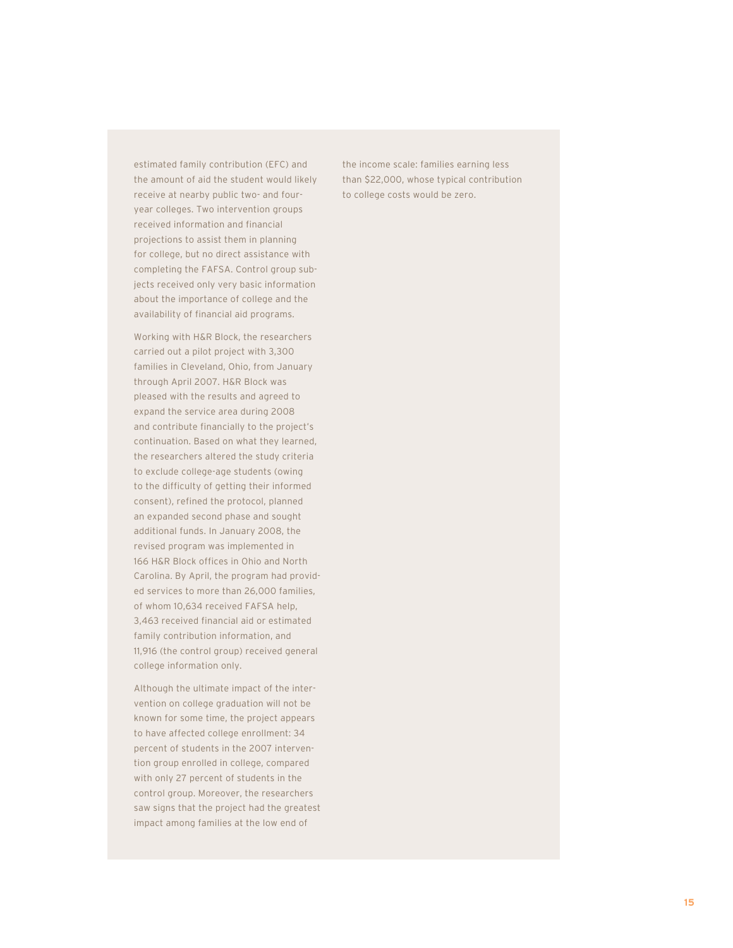estimated family contribution (EFC) and the amount of aid the student would likely receive at nearby public two- and fouryear colleges. Two intervention groups received information and financial projections to assist them in planning for college, but no direct assistance with completing the FAFSA. Control group subjects received only very basic information about the importance of college and the availability of financial aid programs.

Working with H&R Block, the researchers carried out a pilot project with 3,300 families in Cleveland, Ohio, from January through April 2007. H&R Block was pleased with the results and agreed to expand the service area during 2008 and contribute financially to the project's continuation. Based on what they learned, the researchers altered the study criteria to exclude college-age students (owing to the difficulty of getting their informed consent), refined the protocol, planned an expanded second phase and sought additional funds. In January 2008, the revised program was implemented in 166 H&R Block offices in Ohio and North Carolina. By April, the program had provided services to more than 26,000 families, of whom 10,634 received FAFSA help, 3,463 received financial aid or estimated family contribution information, and 11,916 (the control group) received general college information only.

Although the ultimate impact of the intervention on college graduation will not be known for some time, the project appears to have affected college enrollment: 34 percent of students in the 2007 intervention group enrolled in college, compared with only 27 percent of students in the control group. Moreover, the researchers saw signs that the project had the greatest impact among families at the low end of

the income scale: families earning less than \$22,000, whose typical contribution to college costs would be zero.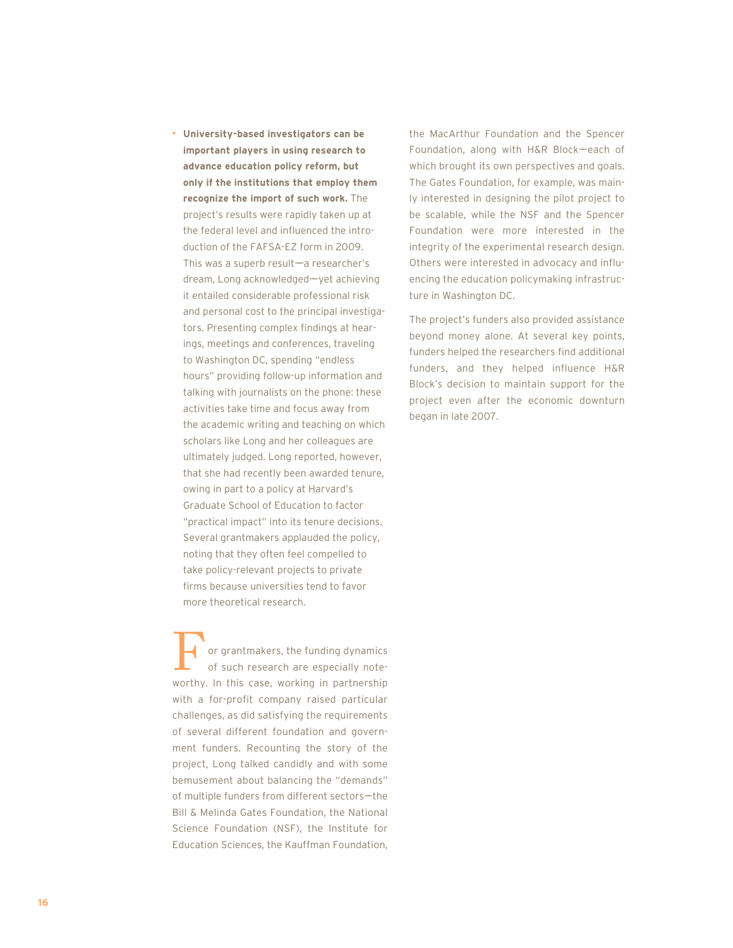• **University-based investigators can be important players in using research to advance education policy reform, but only if the institutions that employ them recognize the import of such work.** The project's results were rapidly taken up at the federal level and influenced the introduction of the FAFSA-EZ form in 2009. This was a superb result  $-a$  researcher's dream, Long acknowledged-yet achieving it entailed considerable professional risk and personal cost to the principal investigators. Presenting complex findings at hearings, meetings and conferences, traveling to Washington DC, spending "endless hours" providing follow-up information and talking with journalists on the phone: these activities take time and focus away from the academic writing and teaching on which scholars like Long and her colleagues are ultimately judged. Long reported, however, that she had recently been awarded tenure, owing in part to a policy at Harvard's Graduate School of Education to factor "practical impact" into its tenure decisions. Several grantmakers applauded the policy, noting that they often feel compelled to take policy-relevant projects to private firms because universities tend to favor more theoretical research.

or grantmakers, the funding dynamics of such research are especially note-The Summar or grantmakers, the funding dynamics<br>of such research are especially note-<br>worthy. In this case, working in partnership with a for-profit company raised particular challenges, as did satisfying the requirements of several different foundation and government funders. Recounting the story of the project, Long talked candidly and with some bemusement about balancing the "demands" of multiple funders from different sectors-the Bill & Melinda Gates Foundation, the National Science Foundation (NSF), the Institute for Education Sciences, the Kauffman Foundation,

the MacArthur Foundation and the Spencer Foundation, along with H&R Block-each of which brought its own perspectives and goals. The Gates Foundation, for example, was mainly interested in designing the pilot project to be scalable, while the NSF and the Spencer Foundation were more interested in the integrity of the experimental research design. Others were interested in advocacy and influencing the education policymaking infrastructure in Washington DC.

The project's funders also provided assistance beyond money alone. At several key points, funders helped the researchers find additional funders, and they helped influence H&R Block's decision to maintain support for the project even after the economic downturn began in late 2007.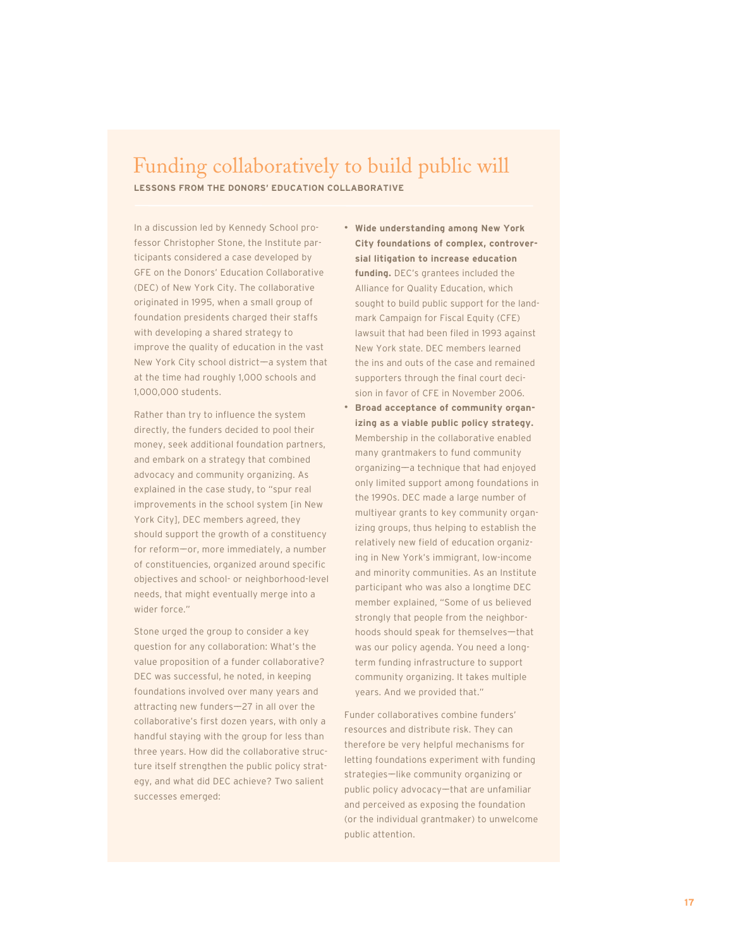## Funding collaboratively to build public will

**LESSONS FROM THE DONORS' EDUCATION COLLABORATIVE**

In a discussion led by Kennedy School professor Christopher Stone, the Institute participants considered a case developed by GFE on the Donors' Education Collaborative (DEC) of New York City. The collaborative originated in 1995, when a small group of foundation presidents charged their staffs with developing a shared strategy to improve the quality of education in the vast New York City school district-a system that at the time had roughly 1,000 schools and 1,000,000 students.

Rather than try to influence the system directly, the funders decided to pool their money, seek additional foundation partners, and embark on a strategy that combined advocacy and community organizing. As explained in the case study, to "spur real improvements in the school system [in New York City], DEC members agreed, they should support the growth of a constituency for reform-or, more immediately, a number of constituencies, organized around specific objectives and school- or neighborhood-level needs, that might eventually merge into a wider force."

Stone urged the group to consider a key question for any collaboration: What's the value proposition of a funder collaborative? DEC was successful, he noted, in keeping foundations involved over many years and attracting new funders $-27$  in all over the collaborative's first dozen years, with only a handful staying with the group for less than three years. How did the collaborative structure itself strengthen the public policy strategy, and what did DEC achieve? Two salient successes emerged:

- **Wide understanding among New York City foundations of complex, controversial litigation to increase education funding.** DEC's grantees included the Alliance for Quality Education, which sought to build public support for the landmark Campaign for Fiscal Equity (CFE) lawsuit that had been filed in 1993 against New York state. DEC members learned the ins and outs of the case and remained supporters through the final court decision in favor of CFE in November 2006.
- **Broad acceptance of community organizing as a viable public policy strategy.** Membership in the collaborative enabled many grantmakers to fund community organizing——a technique that had enjoyed only limited support among foundations in the 1990s. DEC made a large number of multiyear grants to key community organizing groups, thus helping to establish the relatively new field of education organizing in New York's immigrant, low-income and minority communities. As an Institute participant who was also a longtime DEC member explained, "Some of us believed strongly that people from the neighborhoods should speak for themselves-that was our policy agenda. You need a longterm funding infrastructure to support community organizing. It takes multiple years. And we provided that."

Funder collaboratives combine funders' resources and distribute risk. They can therefore be very helpful mechanisms for letting foundations experiment with funding strategies-like community organizing or public policy advocacy-that are unfamiliar and perceived as exposing the foundation (or the individual grantmaker) to unwelcome public attention.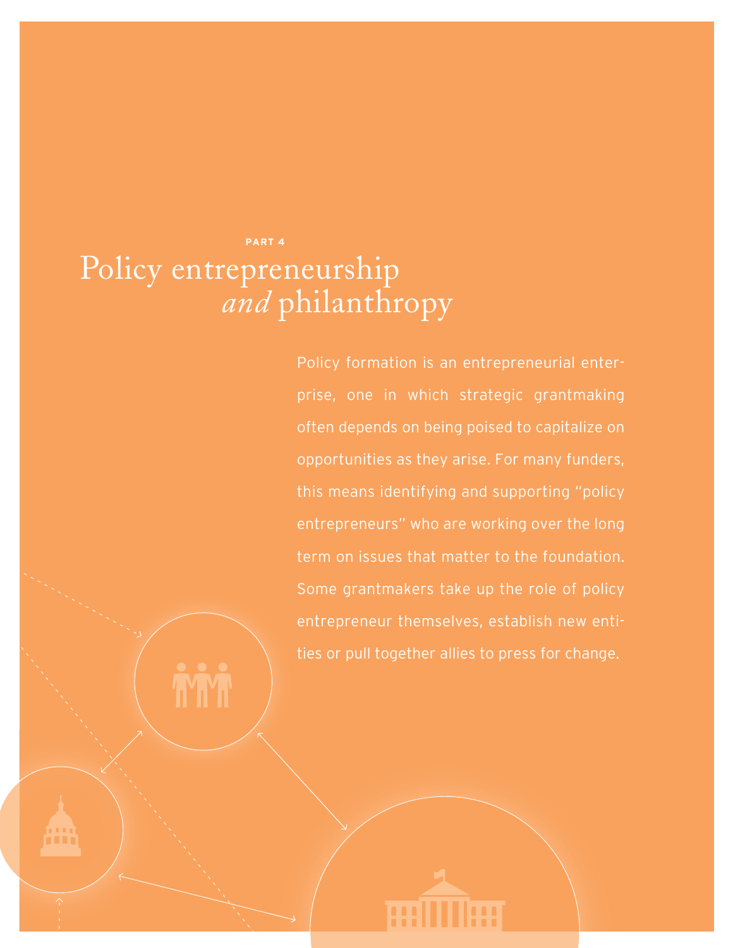## **PART 4** Policy entrepreneurship *and* philanthropy

Policy formation is an entrepreneurial enterprise, one in which strategic grantmaking often depends on being poised to capitalize on opportunities as they arise. For many funders, this means identifying and supporting "policy entrepreneurs" who are working over the long term on issues that matter to the foundation. Some grantmakers take up the role of policy entrepreneur themselves, establish new entities or pull together allies to press for change.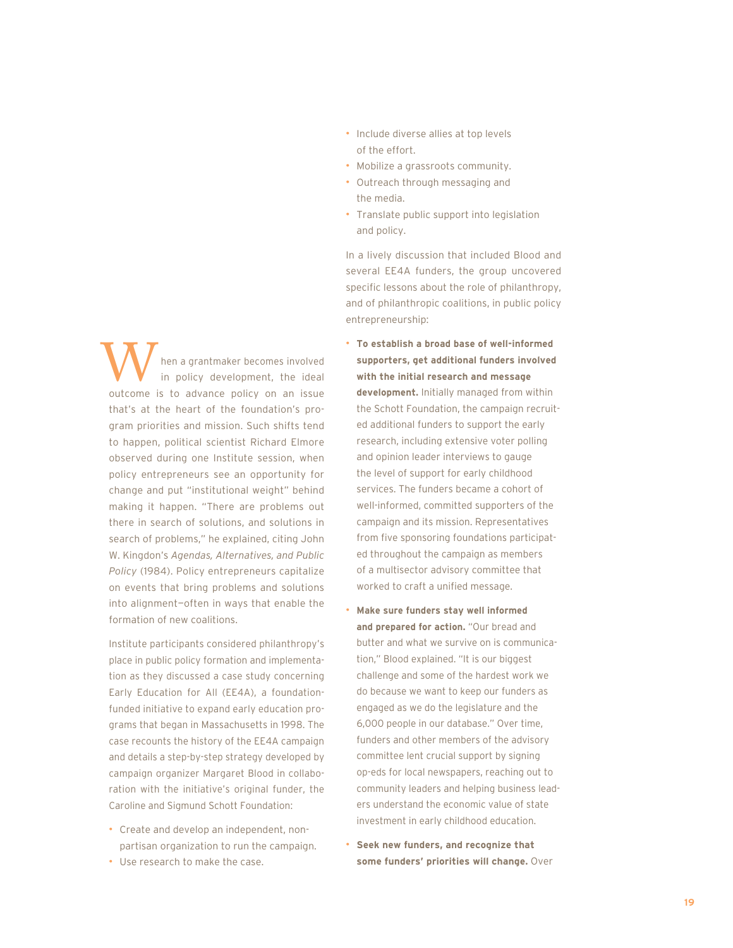hen a grantmaker becomes involved in policy development, the ideal W hen a grantmaker becomes involved<br>in policy development, the ideal<br>outcome is to advance policy on an issue that's at the heart of the foundation's program priorities and mission. Such shifts tend to happen, political scientist Richard Elmore observed during one Institute session, when policy entrepreneurs see an opportunity for change and put "institutional weight" behind making it happen. "There are problems out there in search of solutions, and solutions in search of problems," he explained, citing John W. Kingdon's *Agendas, Alternatives, and Public Policy* (1984). Policy entrepreneurs capitalize on events that bring problems and solutions into alignment—often in ways that enable the formation of new coalitions.

Institute participants considered philanthropy's place in public policy formation and implementation as they discussed a case study concerning Early Education for All (EE4A), a foundationfunded initiative to expand early education programs that began in Massachusetts in 1998. The case recounts the history of the EE4A campaign and details a step-by-step strategy developed by campaign organizer Margaret Blood in collaboration with the initiative's original funder, the Caroline and Sigmund Schott Foundation:

- Create and develop an independent, nonpartisan organization to run the campaign.
- Use research to make the case.
- Include diverse allies at top levels of the effort.
- Mobilize a grassroots community.
- Outreach through messaging and the media.
- Translate public support into legislation and policy.

In a lively discussion that included Blood and several EE4A funders, the group uncovered specific lessons about the role of philanthropy, and of philanthropic coalitions, in public policy entrepreneurship:

- **To establish a broad base of well-informed supporters, get additional funders involved with the initial research and message development.** Initially managed from within the Schott Foundation, the campaign recruited additional funders to support the early research, including extensive voter polling and opinion leader interviews to gauge the level of support for early childhood services. The funders became a cohort of well-informed, committed supporters of the campaign and its mission. Representatives from five sponsoring foundations participated throughout the campaign as members of a multisector advisory committee that worked to craft a unified message.
- **Make sure funders stay well informed and prepared for action.** "Our bread and butter and what we survive on is communication," Blood explained. "It is our biggest challenge and some of the hardest work we do because we want to keep our funders as engaged as we do the legislature and the 6,000 people in our database." Over time, funders and other members of the advisory committee lent crucial support by signing op-eds for local newspapers, reaching out to community leaders and helping business leaders understand the economic value of state investment in early childhood education.
- **Seek new funders, and recognize that some funders' priorities will change.** Over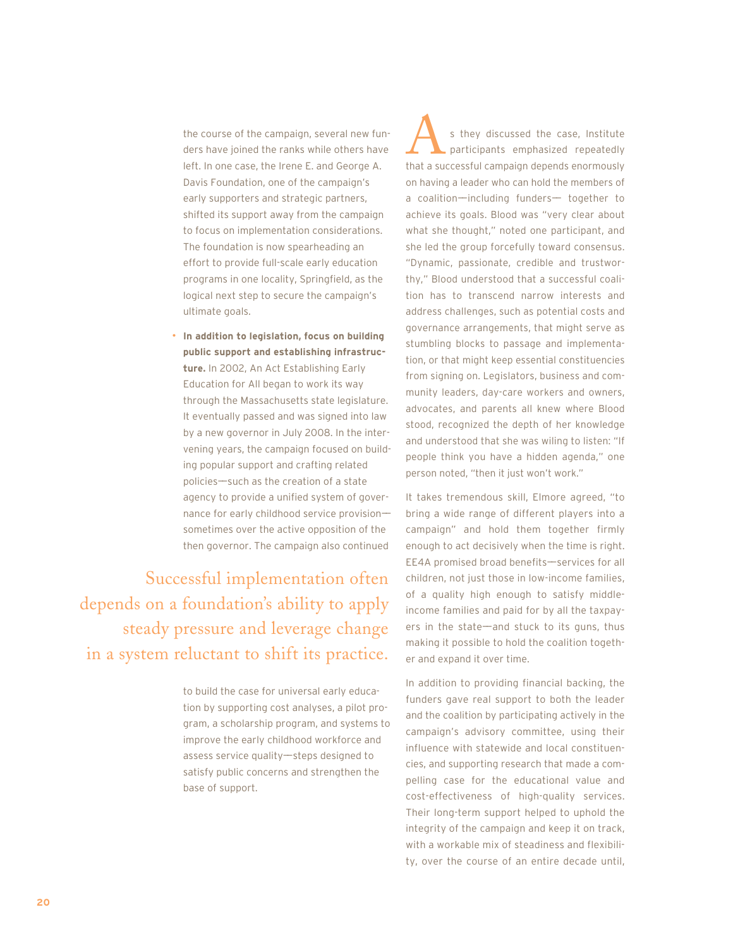the course of the campaign, several new funders have joined the ranks while others have left. In one case, the Irene E. and George A. Davis Foundation, one of the campaign's early supporters and strategic partners, shifted its support away from the campaign to focus on implementation considerations. The foundation is now spearheading an effort to provide full-scale early education programs in one locality, Springfield, as the logical next step to secure the campaign's ultimate goals.

• **In addition to legislation, focus on building public support and establishing infrastructure.** In 2002, An Act Establishing Early Education for All began to work its way through the Massachusetts state legislature. It eventually passed and was signed into law by a new governor in July 2008. In the intervening years, the campaign focused on building popular support and crafting related policies——such as the creation of a state agency to provide a unified system of governance for early childhood service provisionsometimes over the active opposition of the then governor. The campaign also continued

Successful implementation often depends on a foundation's ability to apply steady pressure and leverage change in a system reluctant to shift its practice.

> to build the case for universal early education by supporting cost analyses, a pilot program, a scholarship program, and systems to improve the early childhood workforce and assess service quality-steps designed to satisfy public concerns and strengthen the base of support.

s they discussed the case, Institute participants emphasized repeatedly s they discussed the case, Institute<br>participants emphasized repeatedly<br>that a successful campaign depends enormously on having a leader who can hold the members of a coalition—including funders— together to achieve its goals. Blood was "very clear about what she thought," noted one participant, and she led the group forcefully toward consensus. "Dynamic, passionate, credible and trustworthy," Blood understood that a successful coalition has to transcend narrow interests and address challenges, such as potential costs and governance arrangements, that might serve as stumbling blocks to passage and implementation, or that might keep essential constituencies from signing on. Legislators, business and community leaders, day-care workers and owners, advocates, and parents all knew where Blood stood, recognized the depth of her knowledge and understood that she was wiling to listen: "If people think you have a hidden agenda," one person noted, "then it just won't work."

It takes tremendous skill, Elmore agreed, "to bring a wide range of different players into a campaign" and hold them together firmly enough to act decisively when the time is right. EE4A promised broad benefits—services for all children, not just those in low-income families, of a quality high enough to satisfy middleincome families and paid for by all the taxpayers in the state—and stuck to its guns, thus making it possible to hold the coalition together and expand it over time.

In addition to providing financial backing, the funders gave real support to both the leader and the coalition by participating actively in the campaign's advisory committee, using their influence with statewide and local constituencies, and supporting research that made a compelling case for the educational value and cost-effectiveness of high-quality services. Their long-term support helped to uphold the integrity of the campaign and keep it on track, with a workable mix of steadiness and flexibility, over the course of an entire decade until,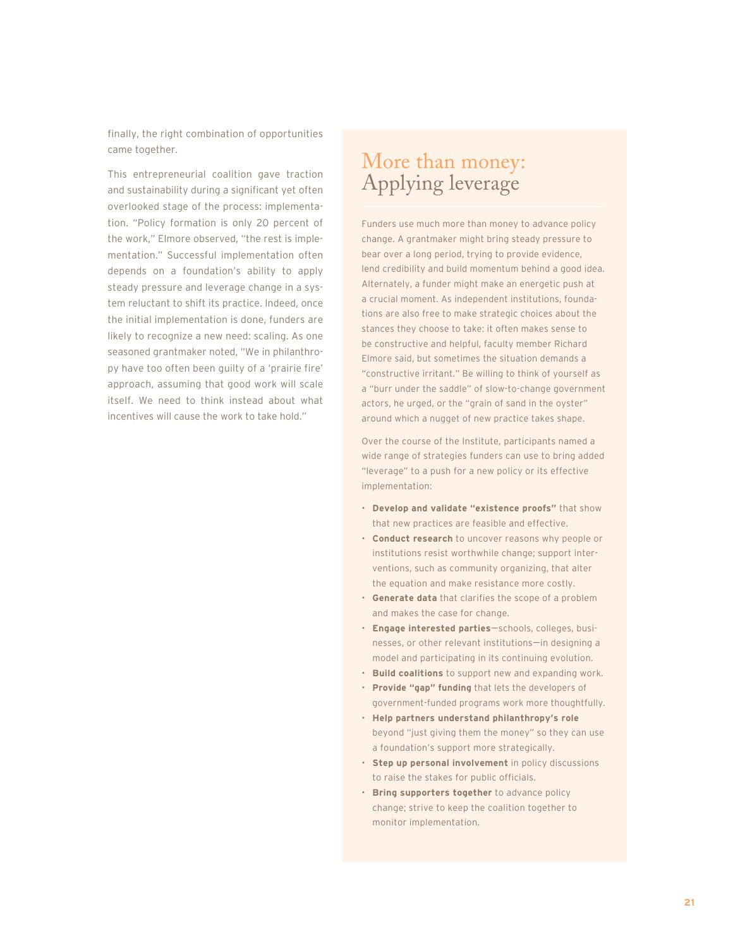finally, the right combination of opportunities came together.

This entrepreneurial coalition gave traction and sustainability during a significant yet often overlooked stage of the process: implementation. "Policy formation is only 20 percent of the work," Elmore observed, "the rest is implementation." Successful implementation often depends on a foundation's ability to apply steady pressure and leverage change in a system reluctant to shift its practice. Indeed, once the initial implementation is done, funders are likely to recognize a new need: scaling. As one seasoned grantmaker noted, "We in philanthropy have too often been guilty of a 'prairie fire' approach, assuming that good work will scale itself. We need to think instead about what incentives will cause the work to take hold."

## More than money: Applying leverage

Funders use much more than money to advance policy change. A grantmaker might bring steady pressure to bear over a long period, trying to provide evidence, lend credibility and build momentum behind a good idea. Alternately, a funder might make an energetic push at a crucial moment. As independent institutions, foundations are also free to make strategic choices about the stances they choose to take: it often makes sense to be constructive and helpful, faculty member Richard Elmore said, but sometimes the situation demands a "constructive irritant." Be willing to think of yourself as a "burr under the saddle" of slow-to-change government actors, he urged, or the "grain of sand in the oyster" around which a nugget of new practice takes shape.

Over the course of the Institute, participants named a wide range of strategies funders can use to bring added "leverage" to a push for a new policy or its effective implementation:

- **Develop and validate "existence proofs"** that show that new practices are feasible and effective.
- **Conduct research** to uncover reasons why people or institutions resist worthwhile change; support interventions, such as community organizing, that alter the equation and make resistance more costly.
- **Generate data** that clarifies the scope of a problem and makes the case for change.
- **Engage interested parties**-schools, colleges, businesses, or other relevant institutions—in designing a model and participating in its continuing evolution.
- **Build coalitions** to support new and expanding work.
- **Provide "gap" funding** that lets the developers of government-funded programs work more thoughtfully.
- **Help partners understand philanthropy's role** beyond "just giving them the money" so they can use a foundation's support more strategically.
- **Step up personal involvement** in policy discussions to raise the stakes for public officials.
- **Bring supporters together** to advance policy change; strive to keep the coalition together to monitor implementation.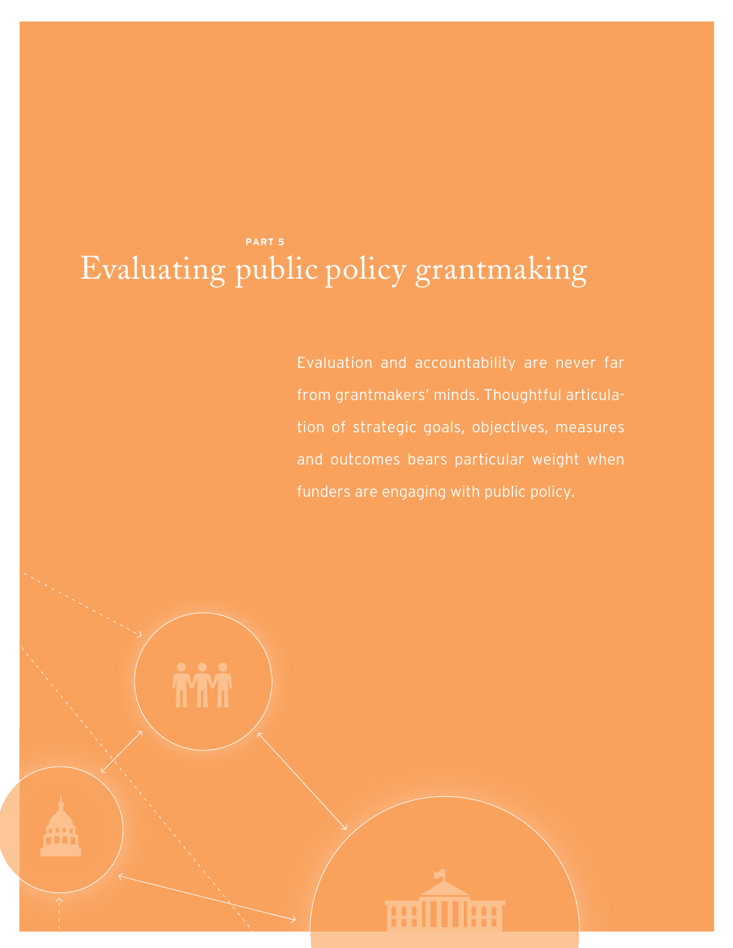## **PART 5** Evaluating public policy grantmaking

Evaluation and accountability are never far from grantmakers' minds. Thoughtful articulation of strategic goals, objectives, measures and outcomes bears particular weight when funders are engaging with public policy.

m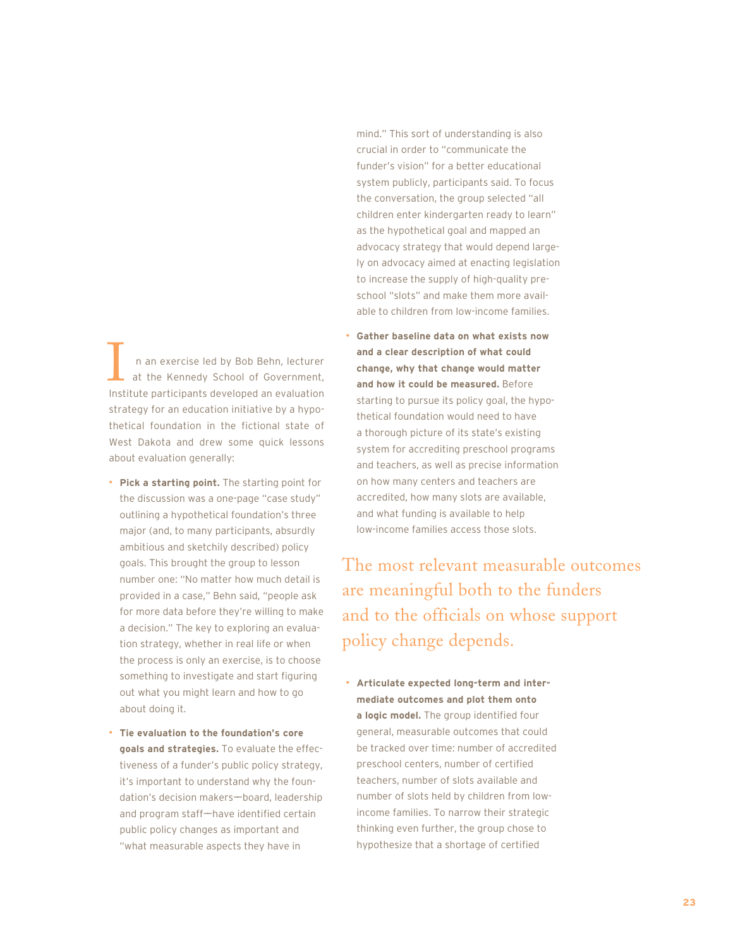n an exercise led by Bob Behn, lecturer at the Kennedy School of Government, In an exercise led by Bob Behn, lecturer<br>at the Kennedy School of Government,<br>Institute participants developed an evaluation strategy for an education initiative by a hypothetical foundation in the fictional state of West Dakota and drew some quick lessons about evaluation generally:

- **Pick a starting point.** The starting point for the discussion was a one-page "case study" outlining a hypothetical foundation's three major (and, to many participants, absurdly ambitious and sketchily described) policy goals. This brought the group to lesson number one: "No matter how much detail is provided in a case," Behn said, "people ask for more data before they're willing to make a decision." The key to exploring an evaluation strategy, whether in real life or when the process is only an exercise, is to choose something to investigate and start figuring out what you might learn and how to go about doing it.
- **Tie evaluation to the foundation's core goals and strategies.** To evaluate the effectiveness of a funder's public policy strategy, it's important to understand why the foundation's decision makers-board, leadership and program staff-have identified certain public policy changes as important and "what measurable aspects they have in

mind." This sort of understanding is also crucial in order to "communicate the funder's vision" for a better educational system publicly, participants said. To focus the conversation, the group selected "all children enter kindergarten ready to learn" as the hypothetical goal and mapped an advocacy strategy that would depend largely on advocacy aimed at enacting legislation to increase the supply of high-quality preschool "slots" and make them more available to children from low-income families.

• **Gather baseline data on what exists now and a clear description of what could change, why that change would matter and how it could be measured.** Before starting to pursue its policy goal, the hypothetical foundation would need to have a thorough picture of its state's existing system for accrediting preschool programs and teachers, as well as precise information on how many centers and teachers are accredited, how many slots are available, and what funding is available to help low-income families access those slots.

The most relevant measurable outcomes are meaningful both to the funders and to the officials on whose support policy change depends.

• **Articulate expected long-term and intermediate outcomes and plot them onto a logic model.** The group identified four general, measurable outcomes that could be tracked over time: number of accredited preschool centers, number of certified teachers, number of slots available and number of slots held by children from lowincome families. To narrow their strategic thinking even further, the group chose to hypothesize that a shortage of certified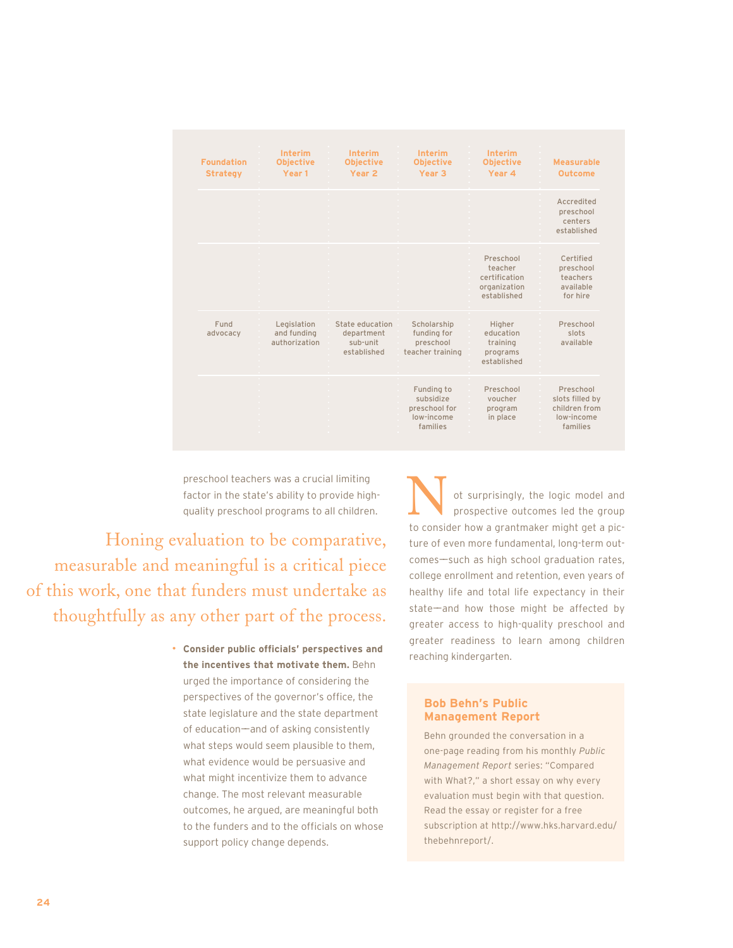| <b>Foundation</b><br><b>Strategy</b> | <b>Interim</b><br><b>Objective</b><br>Year <sub>1</sub> | Interim<br><b>Objective</b><br>Year <sub>2</sub>         | Interim<br><b>Objective</b><br>Year <sub>3</sub>                   | Interim<br><b>Objective</b><br>Year 4                                | <b>Measurable</b><br><b>Outcome</b>                                     |
|--------------------------------------|---------------------------------------------------------|----------------------------------------------------------|--------------------------------------------------------------------|----------------------------------------------------------------------|-------------------------------------------------------------------------|
|                                      |                                                         |                                                          |                                                                    |                                                                      | Accredited<br>preschool<br>centers<br>established                       |
|                                      |                                                         |                                                          |                                                                    | Preschool<br>teacher<br>certification<br>organization<br>established | Certified<br>preschool<br>teachers<br>available<br>for hire             |
| Fund<br>advocacy                     | Legislation<br>and funding<br>authorization             | State education<br>department<br>sub-unit<br>established | Scholarship<br>funding for<br>preschool<br>teacher training        | Higher<br>education<br>training<br>programs<br>established           | Preschool<br>slots<br>available                                         |
|                                      |                                                         |                                                          | Funding to<br>subsidize<br>preschool for<br>low-income<br>families | Preschool<br>voucher<br>program<br>in place                          | Preschool<br>slots filled by<br>children from<br>low-income<br>families |

preschool teachers was a crucial limiting factor in the state's ability to provide highquality preschool programs to all children.

Honing evaluation to be comparative, measurable and meaningful is a critical piece of this work, one that funders must undertake as thoughtfully as any other part of the process.

> • **Consider public officials' perspectives and the incentives that motivate them.** Behn urged the importance of considering the perspectives of the governor's office, the state legislature and the state department of education——and of asking consistently what steps would seem plausible to them, what evidence would be persuasive and what might incentivize them to advance change. The most relevant measurable outcomes, he argued, are meaningful both to the funders and to the officials on whose support policy change depends.

ot surprisingly, the logic model and prospective outcomes led the group of surprisingly, the logic model and<br>prospective outcomes led the group<br>to consider how a grantmaker might get a picture of even more fundamental, long-term outcomes-such as high school graduation rates, college enrollment and retention, even years of healthy life and total life expectancy in their state—and how those might be affected by greater access to high-quality preschool and greater readiness to learn among children reaching kindergarten.

#### **Bob Behn's Public Management Report**

Behn grounded the conversation in a one-page reading from his monthly *Public Management Report* series: "Compared with What?," a short essay on why every evaluation must begin with that question. Read the essay or register for a free subscription at http://www.hks.harvard.edu/ thebehnreport/.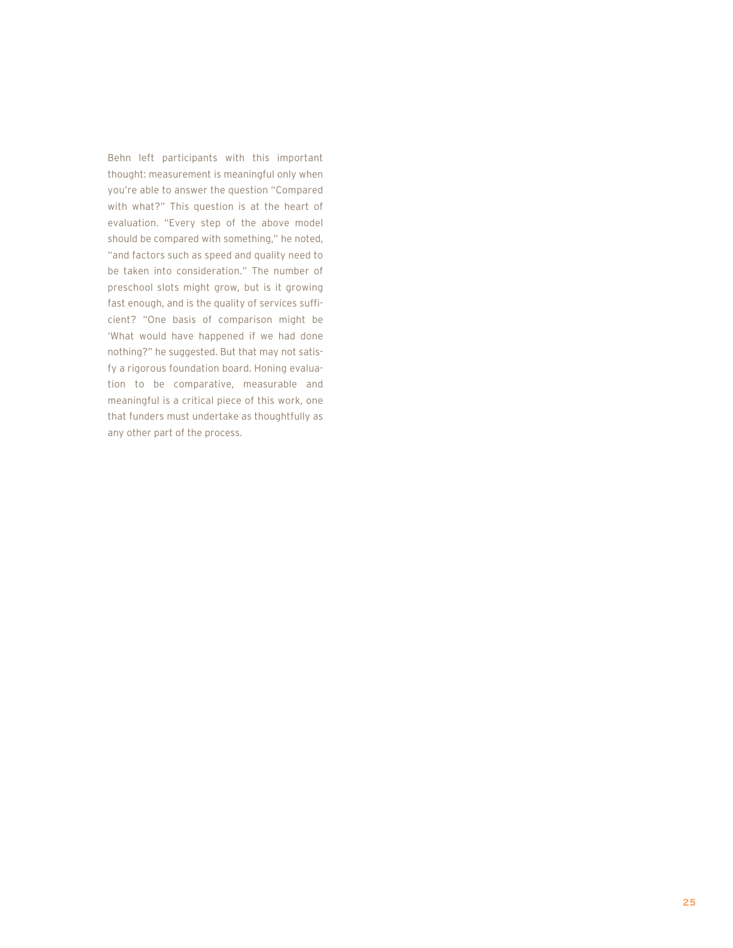Behn left participants with this important thought: measurement is meaningful only when you're able to answer the question "Compared with what?" This question is at the heart of evaluation. "Every step of the above model should be compared with something," he noted, "and factors such as speed and quality need to be taken into consideration." The number of preschool slots might grow, but is it growing fast enough, and is the quality of services sufficient? "One basis of comparison might be 'What would have happened if we had done nothing?" he suggested. But that may not satisfy a rigorous foundation board. Honing evaluation to be comparative, measurable and meaningful is a critical piece of this work, one that funders must undertake as thoughtfully as any other part of the process.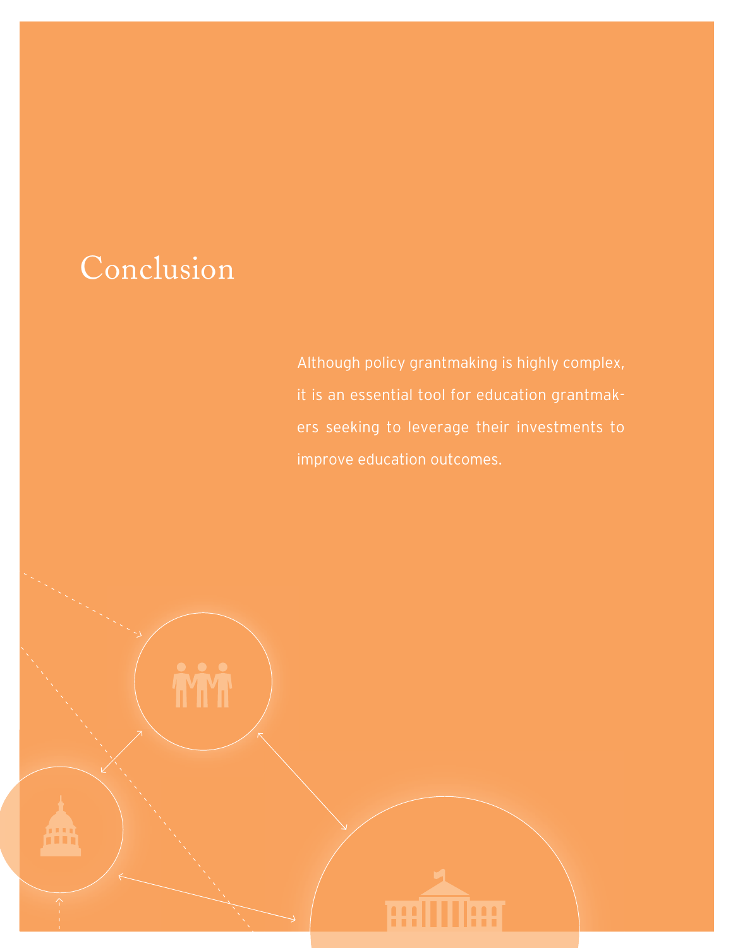# Conclusion

Although policy grantmaking is highly complex, it is an essential tool for education grantmakers seeking to leverage their investments to improve education outcomes.

**frirf HILLING**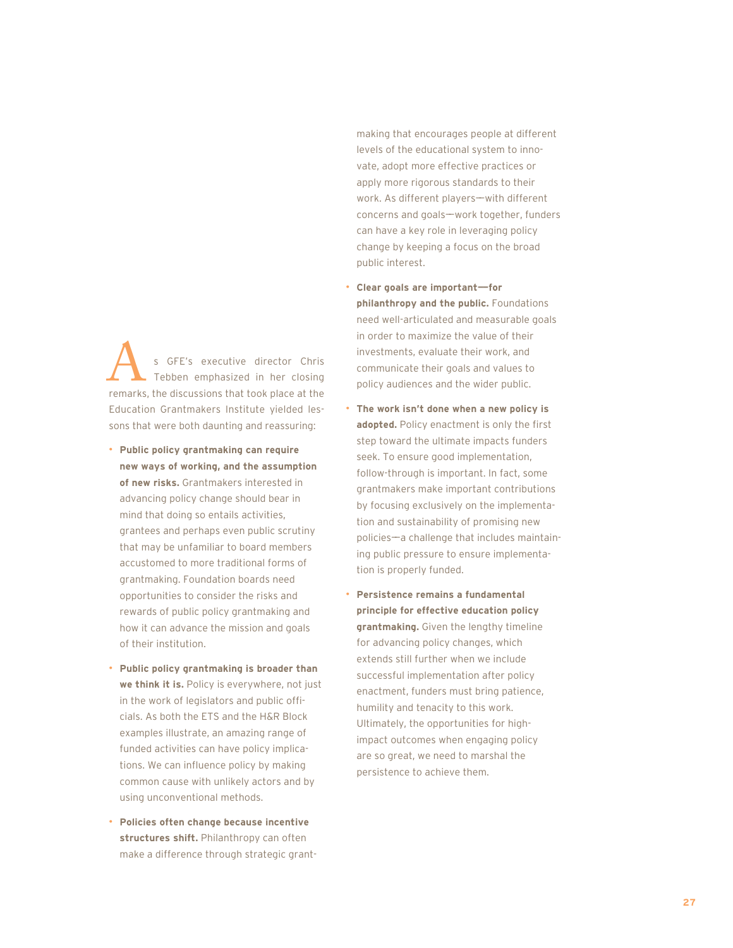s GFE's executive director Chris Tebben emphasized in her closing S GFE's executive director Chris<br>Tebben emphasized in her closing<br>remarks, the discussions that took place at the Education Grantmakers Institute yielded lessons that were both daunting and reassuring:

- **Public policy grantmaking can require new ways of working, and the assumption of new risks.** Grantmakers interested in advancing policy change should bear in mind that doing so entails activities, grantees and perhaps even public scrutiny that may be unfamiliar to board members accustomed to more traditional forms of grantmaking. Foundation boards need opportunities to consider the risks and rewards of public policy grantmaking and how it can advance the mission and goals of their institution.
- **Public policy grantmaking is broader than we think it is.** Policy is everywhere, not just in the work of legislators and public officials. As both the ETS and the H&R Block examples illustrate, an amazing range of funded activities can have policy implications. We can influence policy by making common cause with unlikely actors and by using unconventional methods.
- **Policies often change because incentive structures shift.** Philanthropy can often make a difference through strategic grant-

making that encourages people at different levels of the educational system to innovate, adopt more effective practices or apply more rigorous standards to their work. As different players-with different concerns and goals-work together, funders can have a key role in leveraging policy change by keeping a focus on the broad public interest.

- **Clear goals are important——for philanthropy and the public.** Foundations need well-articulated and measurable goals in order to maximize the value of their investments, evaluate their work, and communicate their goals and values to policy audiences and the wider public.
- **The work isn't done when a new policy is adopted.** Policy enactment is only the first step toward the ultimate impacts funders seek. To ensure good implementation, follow-through is important. In fact, some grantmakers make important contributions by focusing exclusively on the implementation and sustainability of promising new policies——a challenge that includes maintaining public pressure to ensure implementation is properly funded.
- **Persistence remains a fundamental principle for effective education policy grantmaking.** Given the lengthy timeline for advancing policy changes, which extends still further when we include successful implementation after policy enactment, funders must bring patience, humility and tenacity to this work. Ultimately, the opportunities for highimpact outcomes when engaging policy are so great, we need to marshal the persistence to achieve them.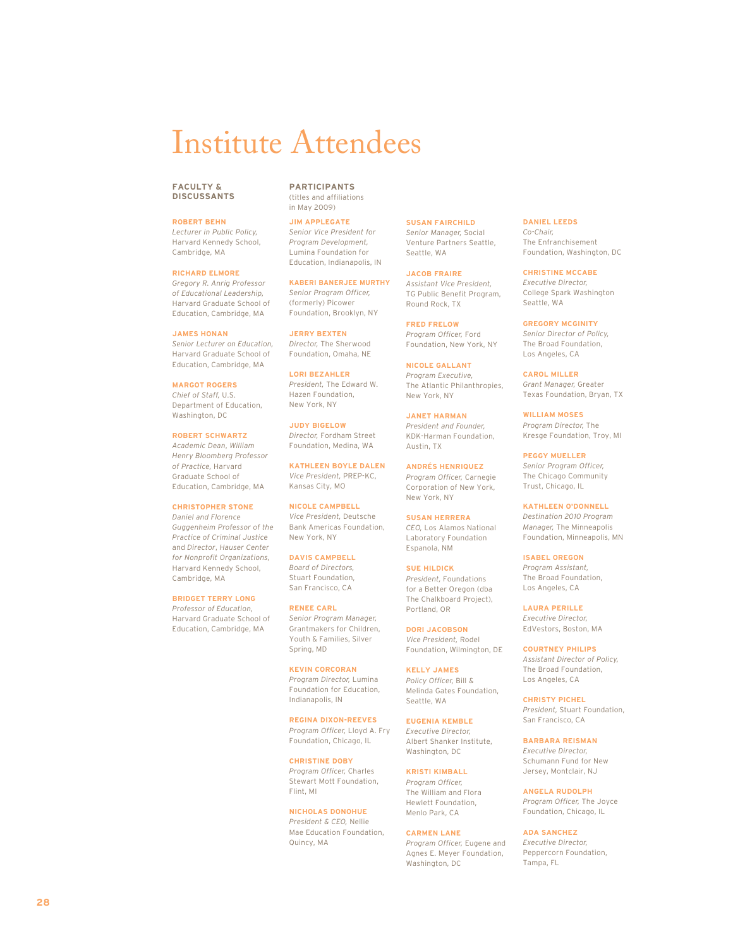# Institute Attendees

#### **FACULTY & DISCUSSANTS**

#### **ROBERT BEHN**

*Lecturer in Public Policy,* Harvard Kennedy School, Cambridge, MA

#### **RICHARD ELMORE**

*Gregory R. Anrig Professor of Educational Leadership,* Harvard Graduate School of Education, Cambridge, MA

#### **JAMES HONAN**

*Senior Lecturer on Education,* Harvard Graduate School of Education, Cambridge, MA

**MARGOT ROGERS** *Chief of Staff,* U.S. Department of Education, Washington, DC

#### **ROBERT SCHWARTZ** *Academic Dean*, *William Henry Bloomberg Professor of Practice,* Harvard Graduate School of Education, Cambridge, MA

**CHRISTOPHER STONE**

*Daniel and Florence Guggenheim Professor of the Practice of Criminal Justice* and *Director*, *Hauser Center for Nonprofit Organizations,* Harvard Kennedy School, Cambridge, MA

#### **BRIDGET TERRY LONG**

*Professor of Education,* Harvard Graduate School of Education, Cambridge, MA

#### **PARTICIPANTS** (titles and affiliations

in May 2009)

**JIM APPLEGATE** *Senior Vice President for Program Development,* Lumina Foundation for Education, Indianapolis, IN

**KABERI BANERJEE MURTHY** *Senior Program Officer,* (formerly) Picower Foundation, Brooklyn, NY

**JERRY BEXTEN** *Director,* The Sherwood Foundation, Omaha, NE

**LORI BEZAHLER** *President,* The Edward W. Hazen Foundation, New York, NY

**JUDY BIGELOW** *Director,* Fordham Street Foundation, Medina, WA

**KATHLEEN BOYLE DALEN** *Vice President,* PREP-KC, Kansas City, MO

**NICOLE CAMPBELL** *Vice President,* Deutsche Bank Americas Foundation, New York, NY

**DAVIS CAMPBELL** *Board of Directors,*  Stuart Foundation, San Francisco, CA

**RENEE CARL** *Senior Program Manager,* Grantmakers for Children, Youth & Families, Silver Spring, MD

**KEVIN CORCORAN** *Program Director,* Lumina Foundation for Education, Indianapolis, IN

**REGINA DIXON-REEVES** *Program Officer,* Lloyd A. Fry Foundation, Chicago, IL

**CHRISTINE DOBY** *Program Officer,* Charles Stewart Mott Foundation, Flint, MI

**NICHOLAS DONOHUE** *President & CEO,* Nellie Mae Education Foundation, Quincy, MA

**SUSAN FAIRCHILD** *Senior Manager,* Social Venture Partners Seattle, Seattle, WA

**JACOB FRAIRE** *Assistant Vice President,* TG Public Benefit Program, Round Rock, TX

**FRED FRELOW** *Program Officer,* Ford Foundation, New York, NY

**NICOLE GALLANT** *Program Executive,* The Atlantic Philanthropies, New York, NY

**JANET HARMAN** *President and Founder,*  KDK-Harman Foundation, Austin, TX

**ANDRÉS HENRIQUEZ** *Program Officer,* Carnegie Corporation of New York, New York, NY

**SUSAN HERRERA** *CEO,* Los Alamos National Laboratory Foundation Espanola, NM

**SUE HILDICK** *President,* Foundations for a Better Oregon (dba The Chalkboard Project), Portland, OR

**DORI JACOBSON** *Vice President,* Rodel Foundation, Wilmington, DE

**KELLY JAMES** *Policy Officer,* Bill & Melinda Gates Foundation, Seattle, WA

**EUGENIA KEMBLE** *Executive Director,*  Albert Shanker Institute, Washington, DC

**KRISTI KIMBALL** *Program Officer,* The William and Flora Hewlett Foundation, Menlo Park, CA

#### **CARMEN LANE**

*Program Officer,* Eugene and Agnes E. Meyer Foundation, Washington, DC

**DANIEL LEEDS** *Co-Chair,*  The Enfranchisement Foundation, Washington, DC

**CHRISTINE MCCABE** *Executive Director,* College Spark Washington Seattle, WA

**GREGORY MCGINITY** *Senior Director of Policy,* The Broad Foundation, Los Angeles, CA

**CAROL MILLER** *Grant Manager,* Greater Texas Foundation, Bryan, TX

**WILLIAM MOSES** *Program Director,* The Kresge Foundation, Troy, MI

**PEGGY MUELLER** *Senior Program Officer,* The Chicago Community Trust, Chicago, IL

**KATHLEEN O'DONNELL**

*Destination 2010 Program Manager,* The Minneapolis Foundation, Minneapolis, MN

**ISABEL OREGON** *Program Assistant,*  The Broad Foundation, Los Angeles, CA

**LAURA PERILLE** *Executive Director,* EdVestors, Boston, MA

**COURTNEY PHILIPS** *Assistant Director of Policy,* The Broad Foundation, Los Angeles, CA

**CHRISTY PICHEL** *President,* Stuart Foundation, San Francisco, CA

**BARBARA REISMAN**

*Executive Director,* Schumann Fund for New Jersey, Montclair, NJ

**ANGELA RUDOLPH**

*Program Officer,* The Joyce Foundation, Chicago, IL

**ADA SANCHEZ**

*Executive Director,* Peppercorn Foundation, Tampa, FL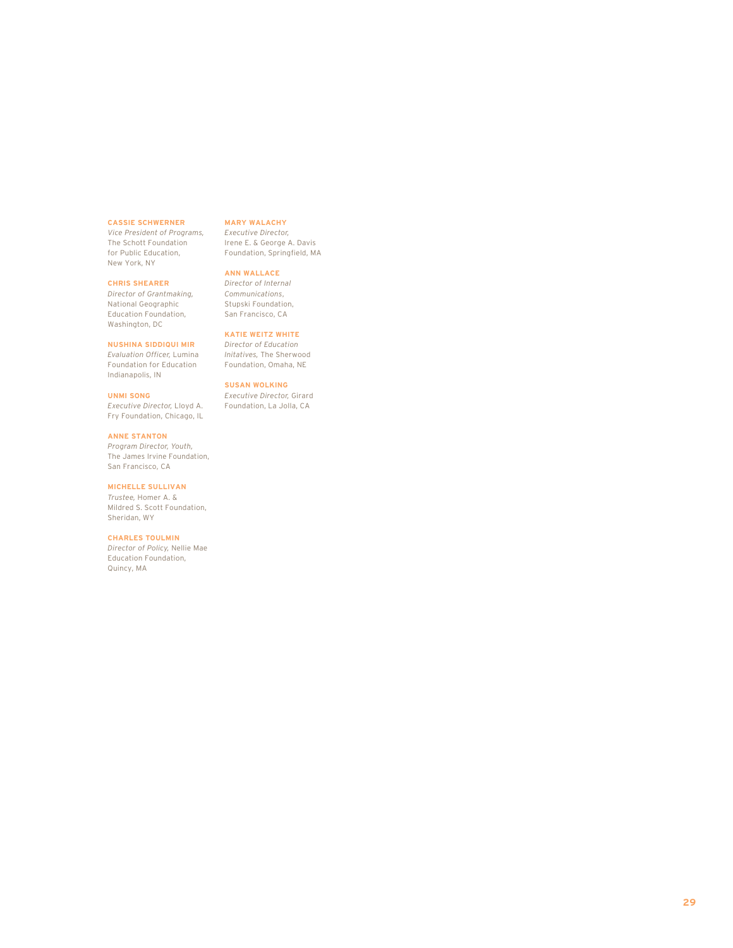#### **CASSIE SCHWERNER**

*Vice President of Programs,* The Schott Foundation for Public Education, New York, NY

**CHRIS SHEARER**

*Director of Grantmaking,* National Geographic Education Foundation, Washington, DC

#### **NUSHINA SIDDIQUI MIR**

*Evaluation Officer,* Lumina Foundation for Education Indianapolis, IN

**UNMI SONG** *Executive Director,* Lloyd A.

Fry Foundation, Chicago, IL

**ANNE STANTON** *Program Director, Youth,* The James Irvine Foundation, San Francisco, CA

**MICHELLE SULLIVAN**

*Trustee,* Homer A. & Mildred S. Scott Foundation, Sheridan, WY

#### **CHARLES TOULMIN**

*Director of Policy,* Nellie Mae Education Foundation, Quincy, MA

#### **MARY WALACHY**

*Executive Director,*  Irene E. & George A. Davis Foundation, Springfield, MA

**ANN WALLACE**

*Director of Internal Communications*, Stupski Foundation, San Francisco, CA

#### **KATIE WEITZ WHITE**

*Director of Education Initatives,* The Sherwood Foundation, Omaha, NE

**SUSAN WOLKING**

*Executive Director,* Girard Foundation, La Jolla, CA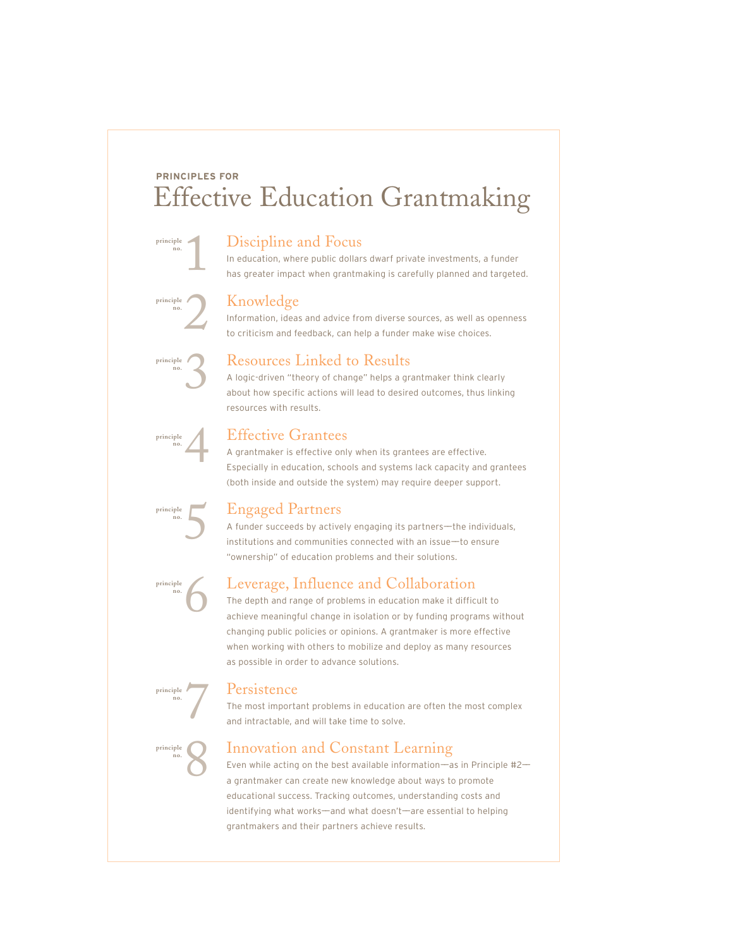## **PRINCIPLES FOR** Effective Education Grantmaking

#### Discipline and Focus

In education, where public dollars dwarf private investments, a funder has greater impact when grantmaking is carefully planned and targeted.

### Knowledge

Information, ideas and advice from diverse sources, as well as openness to criticism and feedback, can help a funder make wise choices.



1

**principle no.**

**principle no.**

2

### Resources Linked to Results

A logic-driven "theory of change" helps a grantmaker think clearly about how specific actions will lead to desired outcomes, thus linking resources with results.



### Effective Grantees

A grantmaker is effective only when its grantees are effective. Especially in education, schools and systems lack capacity and grantees (both inside and outside the system) may require deeper support.



**principle no.**

**principle no.**

**principle no.**

6

7

8

### Engaged Partners

A funder succeeds by actively engaging its partners—the individuals, institutions and communities connected with an issue——to ensure "ownership" of education problems and their solutions.

### Leverage, Influence and Collaboration

The depth and range of problems in education make it difficult to achieve meaningful change in isolation or by funding programs without changing public policies or opinions. A grantmaker is more effective when working with others to mobilize and deploy as many resources as possible in order to advance solutions.

#### Persistence

The most important problems in education are often the most complex and intractable, and will take time to solve.

### Innovation and Constant Learning

Even while acting on the best available information—as in Principle  $#2$ a grantmaker can create new knowledge about ways to promote educational success. Tracking outcomes, understanding costs and identifying what works-and what doesn't-are essential to helping grantmakers and their partners achieve results.